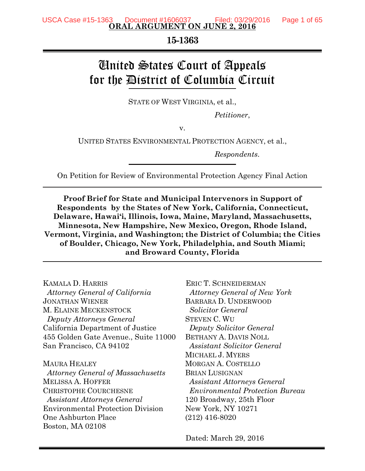**15-1363**

# United States Court of Appeals for the District of Columbia Circuit

STATE OF WEST VIRGINIA, et al.,

*Petitioner*,

v.

UNITED STATES ENVIRONMENTAL PROTECTION AGENCY, et al.,

*Respondents*.

On Petition for Review of Environmental Protection Agency Final Action

**Proof Brief for State and Municipal Intervenors in Support of Respondents by the States of New York, California, Connecticut, Delaware, Hawai'i, Illinois, Iowa, Maine, Maryland, Massachusetts, Minnesota, New Hampshire, New Mexico, Oregon, Rhode Island, Vermont, Virginia, and Washington; the District of Columbia; the Cities of Boulder, Chicago, New York, Philadelphia, and South Miami; and Broward County, Florida**

KAMALA D. HARRIS  *Attorney General of California* JONATHAN WIENER M. ELAINE MECKENSTOCK  *Deputy Attorneys General* California Department of Justice 455 Golden Gate Avenue., Suite 11000 San Francisco, CA 94102 MAURA HEALEY  *Attorney General of Massachusetts* MELISSA A. HOFFER CHRISTOPHE COURCHESNE  *Assistant Attorneys General* Environmental Protection Division One Ashburton Place Boston, MA 02108

ERIC T. SCHNEIDERMAN  *Attorney General of New York* BARBARA D. UNDERWOOD  *Solicitor General* STEVEN C. WU  *Deputy Solicitor General* BETHANY A. DAVIS NOLL  *Assistant Solicitor General* MICHAEL J. MYERS MORGAN A. COSTELLO BRIAN LUSIGNAN  *Assistant Attorneys General Environmental Protection Bureau* 120 Broadway, 25th Floor New York, NY 10271 (212) 416-8020

Dated: March 29, 2016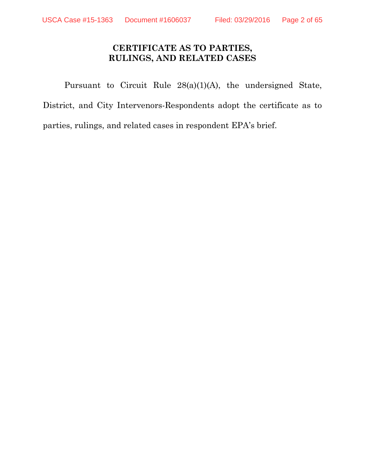#### **CERTIFICATE AS TO PARTIES, RULINGS, AND RELATED CASES**

Pursuant to Circuit Rule 28(a)(1)(A), the undersigned State, District, and City Intervenors-Respondents adopt the certificate as to parties, rulings, and related cases in respondent EPA's brief.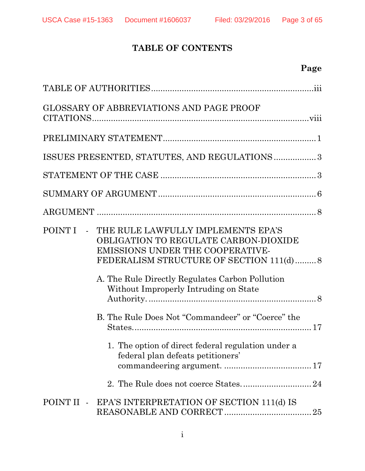# **TABLE OF CONTENTS**

# **Page**

| <b>GLOSSARY OF ABBREVIATIONS AND PAGE PROOF</b>                                                                                                                                                                                                                  |
|------------------------------------------------------------------------------------------------------------------------------------------------------------------------------------------------------------------------------------------------------------------|
|                                                                                                                                                                                                                                                                  |
| ISSUES PRESENTED, STATUTES, AND REGULATIONS  3                                                                                                                                                                                                                   |
|                                                                                                                                                                                                                                                                  |
|                                                                                                                                                                                                                                                                  |
|                                                                                                                                                                                                                                                                  |
| POINT I - THE RULE LAWFULLY IMPLEMENTS EPA'S<br>OBLIGATION TO REGULATE CARBON-DIOXIDE<br>EMISSIONS UNDER THE COOPERATIVE-<br>FEDERALISM STRUCTURE OF SECTION 111(d)8<br>A. The Rule Directly Regulates Carbon Pollution<br>Without Improperly Intruding on State |
| B. The Rule Does Not "Commandeer" or "Coerce" the<br>1. The option of direct federal regulation under a<br>federal plan defeats petitioners'                                                                                                                     |
| POINT II - EPA'S INTERPRETATION OF SECTION 111(d) IS                                                                                                                                                                                                             |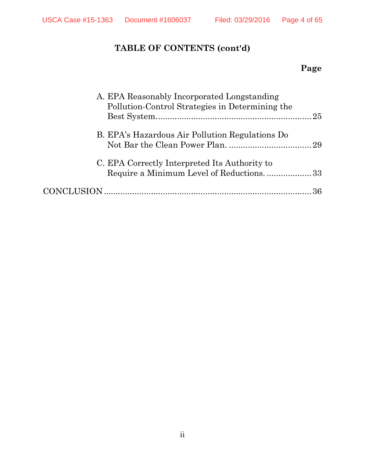# **TABLE OF CONTENTS (cont'd)**

# **Page**

| A. EPA Reasonably Incorporated Longstanding<br>Pollution-Control Strategies in Determining the |  |
|------------------------------------------------------------------------------------------------|--|
| B. EPA's Hazardous Air Pollution Regulations Do                                                |  |
| C. EPA Correctly Interpreted Its Authority to<br>Require a Minimum Level of Reductions33       |  |
|                                                                                                |  |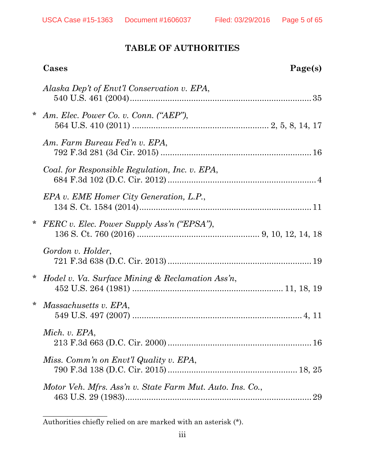# **TABLE OF AUTHORITIES**

|        | Cases<br>Page(s)                                            |    |
|--------|-------------------------------------------------------------|----|
|        | Alaska Dep't of Envt'l Conservation v. EPA,                 |    |
| *      | Am. Elec. Power Co. v. Conn. ("AEP"),                       |    |
|        | Am. Farm Bureau Fed'n v. EPA,                               |    |
|        | Coal. for Responsible Regulation, Inc. v. EPA,              |    |
|        | EPA v. EME Homer City Generation, L.P.,                     |    |
| $\ast$ | FERC v. Elec. Power Supply Ass'n ("EPSA"),                  |    |
|        | Gordon v. Holder,                                           |    |
| *      | <i>Hodel v. Va. Surface Mining &amp; Reclamation Ass'n,</i> |    |
| *      | Massachusetts v. EPA,                                       |    |
|        | Mich. v. EPA,                                               |    |
|        | Miss. Comm'n on Envt'l Quality v. EPA,                      |    |
|        | Motor Veh. Mfrs. Ass'n v. State Farm Mut. Auto. Ins. Co.,   | 29 |
|        |                                                             |    |

Authorities chiefly relied on are marked with an asterisk (\*).

 $\_$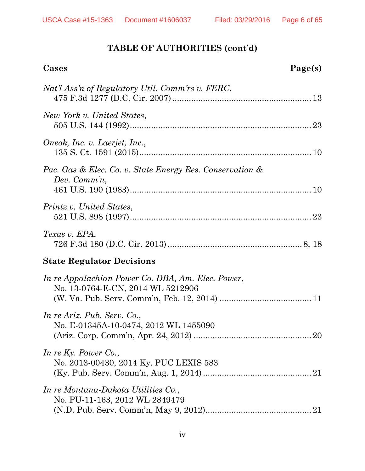| Cases                                                                                  | Page(s) |
|----------------------------------------------------------------------------------------|---------|
| Nat'l Ass'n of Regulatory Util. Comm'rs v. FERC,                                       |         |
| New York v. United States,                                                             |         |
| Oneok, Inc. v. Laerjet, Inc.,                                                          |         |
| Pac. Gas & Elec. Co. v. State Energy Res. Conservation &<br>Dev. Comm'n,               |         |
| Printz v. United States,                                                               |         |
| Texas v. EPA,                                                                          |         |
| <b>State Regulator Decisions</b>                                                       |         |
| In re Appalachian Power Co. DBA, Am. Elec. Power,<br>No. 13-0764-E-CN, 2014 WL 5212906 |         |
| In re Ariz. Pub. Serv. Co.,<br>No. E-01345A-10-0474, 2012 WL 1455090                   |         |
| In re Ky. Power Co.,<br>No. 2013-00430, 2014 Ky. PUC LEXIS 583                         |         |
| In re Montana-Dakota Utilities Co.,<br>No. PU-11-163, 2012 WL 2849479                  |         |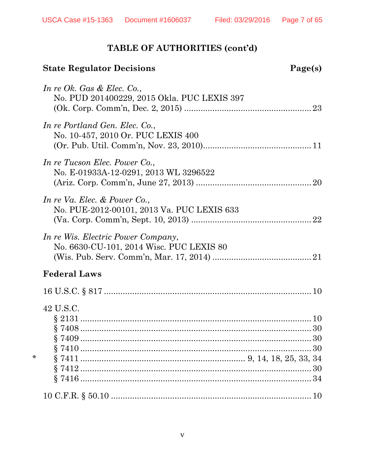|         | <b>State Regulator Decisions</b><br>Page(s)                                    |  |
|---------|--------------------------------------------------------------------------------|--|
|         | In re Ok. Gas $\&$ Elec. Co.,<br>No. PUD 201400229, 2015 Okla. PUC LEXIS 397   |  |
|         | In re Portland Gen. Elec. Co.,<br>No. 10-457, 2010 Or. PUC LEXIS 400           |  |
|         | In re Tucson Elec. Power Co.,<br>No. E-01933A-12-0291, 2013 WL 3296522         |  |
|         | In re Va. Elec. $&$ Power Co.,<br>No. PUE-2012-00101, 2013 Va. PUC LEXIS 633   |  |
|         | In re Wis. Electric Power Company,<br>No. 6630-CU-101, 2014 Wisc. PUC LEXIS 80 |  |
|         | <b>Federal Laws</b>                                                            |  |
|         |                                                                                |  |
| $\star$ | 42 U.S.C.                                                                      |  |
|         |                                                                                |  |
|         |                                                                                |  |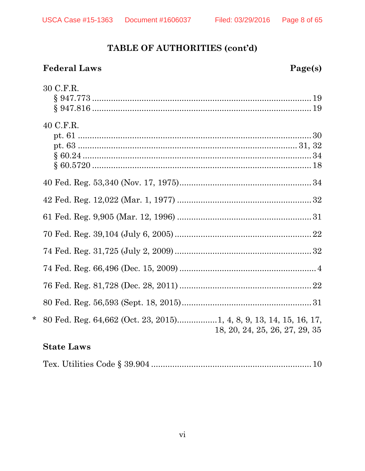# **Federal Laws**

# Page(s)

# **State Laws**

 $\star$ 

|--|--|--|--|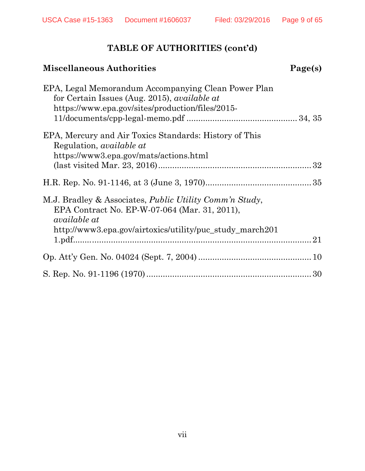| <b>Miscellaneous Authorities</b>                                                                                                                               | Page(s) |
|----------------------------------------------------------------------------------------------------------------------------------------------------------------|---------|
| EPA, Legal Memorandum Accompanying Clean Power Plan<br>for Certain Issues (Aug. 2015), <i>available at</i><br>https://www.epa.gov/sites/production/files/2015- |         |
| EPA, Mercury and Air Toxics Standards: History of This<br>Regulation, <i>available at</i><br>https://www3.epa.gov/mats/actions.html                            |         |
|                                                                                                                                                                |         |
|                                                                                                                                                                |         |
| M.J. Bradley & Associates, <i>Public Utility Comm'n Study</i> ,<br>EPA Contract No. EP-W-07-064 (Mar. 31, 2011),<br><i>available at</i>                        |         |
| http://www3.epa.gov/airtoxics/utility/puc_study_march201                                                                                                       |         |
|                                                                                                                                                                |         |
|                                                                                                                                                                |         |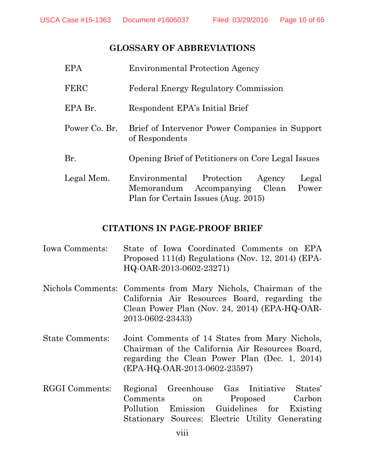#### **GLOSSARY OF ABBREVIATIONS**

| <b>EPA</b>    | <b>Environmental Protection Agency</b>                                                                                    |  |  |
|---------------|---------------------------------------------------------------------------------------------------------------------------|--|--|
| <b>FERC</b>   | <b>Federal Energy Regulatory Commission</b>                                                                               |  |  |
| EPA Br.       | Respondent EPA's Initial Brief                                                                                            |  |  |
| Power Co. Br. | Brief of Intervenor Power Companies in Support<br>of Respondents                                                          |  |  |
| Br.           | Opening Brief of Petitioners on Core Legal Issues                                                                         |  |  |
| Legal Mem.    | Environmental Protection<br>Legal<br>Agency<br>Memorandum Accompanying Clean Power<br>Plan for Certain Issues (Aug. 2015) |  |  |

#### **CITATIONS IN PAGE-PROOF BRIEF**

- Iowa Comments: State of Iowa Coordinated Comments on EPA Proposed 111(d) Regulations (Nov. 12, 2014) (EPA-HQ-OAR-2013-0602-23271)
- Nichols Comments: Comments from Mary Nichols, Chairman of the California Air Resources Board, regarding the Clean Power Plan (Nov. 24, 2014) (EPA-HQ-OAR-2013-0602-23433)
- State Comments: Joint Comments of 14 States from Mary Nichols, Chairman of the California Air Resources Board, regarding the Clean Power Plan (Dec. 1, 2014) (EPA-HQ-OAR-2013-0602-23597)
- RGGI Comments: Regional Greenhouse Gas Initiative States' Comments on Proposed Carbon Pollution Emission Guidelines for Existing Stationary Sources: Electric Utility Generating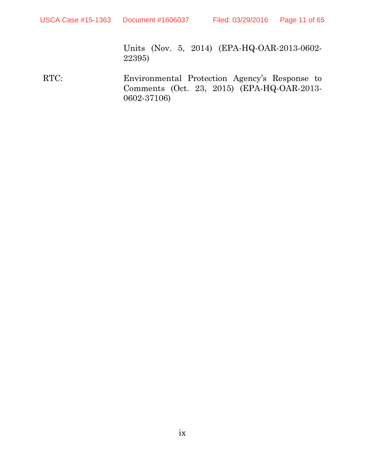Units (Nov. 5, 2014) (EPA-HQ-OAR-2013-0602- 22395)

RTC: Environmental Protection Agency's Response to Comments (Oct. 23, 2015) (EPA-HQ-OAR-2013- 0602-37106)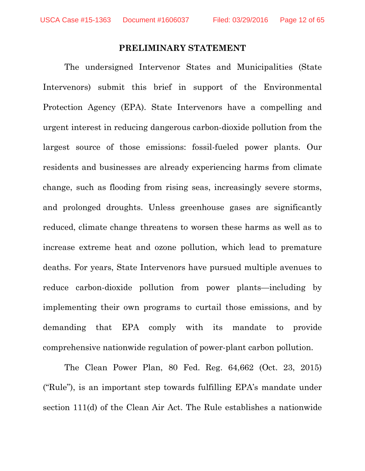#### **PRELIMINARY STATEMENT**

<span id="page-11-0"></span>The undersigned Intervenor States and Municipalities (State Intervenors) submit this brief in support of the Environmental Protection Agency (EPA). State Intervenors have a compelling and urgent interest in reducing dangerous carbon-dioxide pollution from the largest source of those emissions: fossil-fueled power plants. Our residents and businesses are already experiencing harms from climate change, such as flooding from rising seas, increasingly severe storms, and prolonged droughts. Unless greenhouse gases are significantly reduced, climate change threatens to worsen these harms as well as to increase extreme heat and ozone pollution, which lead to premature deaths. For years, State Intervenors have pursued multiple avenues to reduce carbon-dioxide pollution from power plants—including by implementing their own programs to curtail those emissions, and by demanding that EPA comply with its mandate to provide comprehensive nationwide regulation of power-plant carbon pollution.

<span id="page-11-1"></span>The Clean Power Plan, 80 Fed. Reg. 64,662 (Oct. 23, 2015) ("Rule"), is an important step towards fulfilling EPA's mandate under section 111(d) of the Clean Air Act. The Rule establishes a nationwide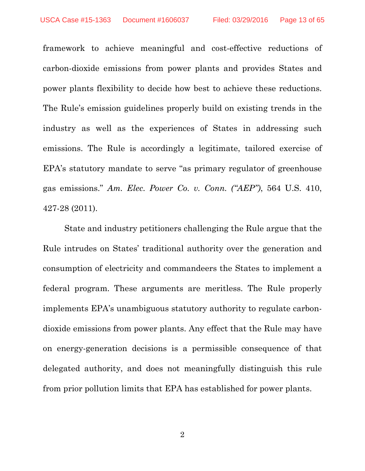framework to achieve meaningful and cost-effective reductions of carbon-dioxide emissions from power plants and provides States and power plants flexibility to decide how best to achieve these reductions. The Rule's emission guidelines properly build on existing trends in the industry as well as the experiences of States in addressing such emissions. The Rule is accordingly a legitimate, tailored exercise of EPA's statutory mandate to serve "as primary regulator of greenhouse gas emissions." *Am. Elec. Power Co. v. Conn. ("AEP")*, 564 U.S. 410, 427-28 (2011).

<span id="page-12-0"></span>State and industry petitioners challenging the Rule argue that the Rule intrudes on States' traditional authority over the generation and consumption of electricity and commandeers the States to implement a federal program. These arguments are meritless. The Rule properly implements EPA's unambiguous statutory authority to regulate carbondioxide emissions from power plants. Any effect that the Rule may have on energy-generation decisions is a permissible consequence of that delegated authority, and does not meaningfully distinguish this rule from prior pollution limits that EPA has established for power plants.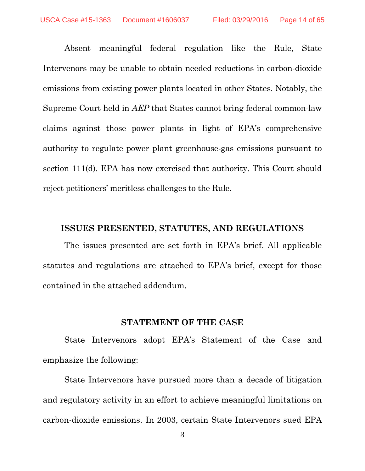Absent meaningful federal regulation like the Rule, State Intervenors may be unable to obtain needed reductions in carbon-dioxide emissions from existing power plants located in other States. Notably, the Supreme Court held in *AEP* that States cannot bring federal common-law claims against those power plants in light of EPA's comprehensive authority to regulate power plant greenhouse-gas emissions pursuant to section 111(d). EPA has now exercised that authority. This Court should reject petitioners' meritless challenges to the Rule.

#### <span id="page-13-0"></span>**ISSUES PRESENTED, STATUTES, AND REGULATIONS**

The issues presented are set forth in EPA's brief. All applicable statutes and regulations are attached to EPA's brief, except for those contained in the attached addendum.

#### **STATEMENT OF THE CASE**

<span id="page-13-1"></span>State Intervenors adopt EPA's Statement of the Case and emphasize the following:

State Intervenors have pursued more than a decade of litigation and regulatory activity in an effort to achieve meaningful limitations on carbon-dioxide emissions. In 2003, certain State Intervenors sued EPA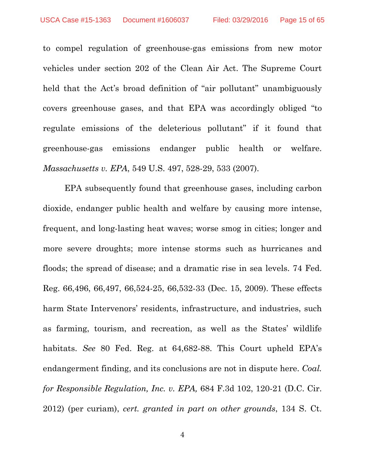to compel regulation of greenhouse-gas emissions from new motor vehicles under section 202 of the Clean Air Act. The Supreme Court held that the Act's broad definition of "air pollutant" unambiguously covers greenhouse gases, and that EPA was accordingly obliged "to regulate emissions of the deleterious pollutant" if it found that greenhouse-gas emissions endanger public health or welfare. *Massachusetts v. EPA*, 549 U.S. 497, 528-29, 533 (2007).

<span id="page-14-2"></span><span id="page-14-1"></span><span id="page-14-0"></span>EPA subsequently found that greenhouse gases, including carbon dioxide, endanger public health and welfare by causing more intense, frequent, and long-lasting heat waves; worse smog in cities; longer and more severe droughts; more intense storms such as hurricanes and floods; the spread of disease; and a dramatic rise in sea levels. 74 Fed. Reg. 66,496, 66,497, 66,524-25, 66,532-33 (Dec. 15, 2009). These effects harm State Intervenors' residents, infrastructure, and industries, such as farming, tourism, and recreation, as well as the States' wildlife habitats. *See* 80 Fed. Reg. at 64,682-88. This Court upheld EPA's endangerment finding, and its conclusions are not in dispute here. *Coal. for Responsible Regulation, Inc. v. EPA,* 684 F.3d 102, 120-21 (D.C. Cir. 2012) (per curiam), *cert. granted in part on other grounds*, 134 S. Ct.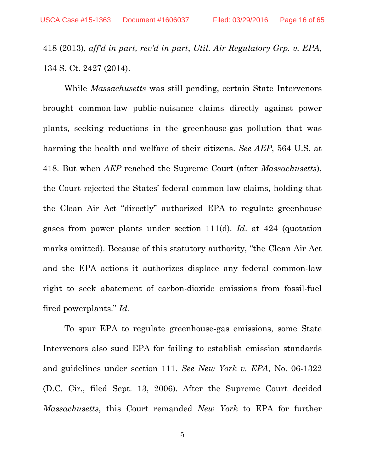418 (2013), *aff'd in part, rev'd in part*, *Util. Air Regulatory Grp. v. EPA*, 134 S. Ct. 2427 (2014).

<span id="page-15-0"></span>While *Massachusetts* was still pending, certain State Intervenors brought common-law public-nuisance claims directly against power plants, seeking reductions in the greenhouse-gas pollution that was harming the health and welfare of their citizens. *See AEP*, 564 U.S. at 418. But when *AEP* reached the Supreme Court (after *Massachusetts*), the Court rejected the States' federal common-law claims, holding that the Clean Air Act "directly" authorized EPA to regulate greenhouse gases from power plants under section 111(d). *Id*. at 424 (quotation marks omitted). Because of this statutory authority, "the Clean Air Act and the EPA actions it authorizes displace any federal common-law right to seek abatement of carbon-dioxide emissions from fossil-fuel fired powerplants." *Id.* 

To spur EPA to regulate greenhouse-gas emissions, some State Intervenors also sued EPA for failing to establish emission standards and guidelines under section 111. *See New York v. EPA*, No. 06-1322 (D.C. Cir., filed Sept. 13, 2006). After the Supreme Court decided *Massachusetts*, this Court remanded *New York* to EPA for further

5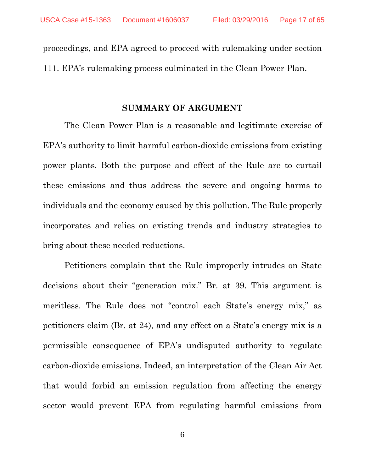proceedings, and EPA agreed to proceed with rulemaking under section 111. EPA's rulemaking process culminated in the Clean Power Plan.

#### **SUMMARY OF ARGUMENT**

<span id="page-16-0"></span>The Clean Power Plan is a reasonable and legitimate exercise of EPA's authority to limit harmful carbon-dioxide emissions from existing power plants. Both the purpose and effect of the Rule are to curtail these emissions and thus address the severe and ongoing harms to individuals and the economy caused by this pollution. The Rule properly incorporates and relies on existing trends and industry strategies to bring about these needed reductions.

Petitioners complain that the Rule improperly intrudes on State decisions about their "generation mix." Br. at 39. This argument is meritless. The Rule does not "control each State's energy mix," as petitioners claim (Br. at 24), and any effect on a State's energy mix is a permissible consequence of EPA's undisputed authority to regulate carbon-dioxide emissions. Indeed, an interpretation of the Clean Air Act that would forbid an emission regulation from affecting the energy sector would prevent EPA from regulating harmful emissions from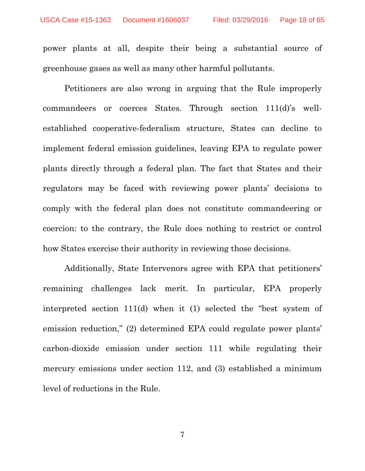power plants at all, despite their being a substantial source of greenhouse gases as well as many other harmful pollutants.

Petitioners are also wrong in arguing that the Rule improperly commandeers or coerces States. Through section 111(d)'s wellestablished cooperative-federalism structure, States can decline to implement federal emission guidelines, leaving EPA to regulate power plants directly through a federal plan. The fact that States and their regulators may be faced with reviewing power plants' decisions to comply with the federal plan does not constitute commandeering or coercion: to the contrary, the Rule does nothing to restrict or control how States exercise their authority in reviewing those decisions.

Additionally, State Intervenors agree with EPA that petitioners' remaining challenges lack merit. In particular, EPA properly interpreted section 111(d) when it (1) selected the "best system of emission reduction," (2) determined EPA could regulate power plants' carbon-dioxide emission under section 111 while regulating their mercury emissions under section 112, and (3) established a minimum level of reductions in the Rule.

7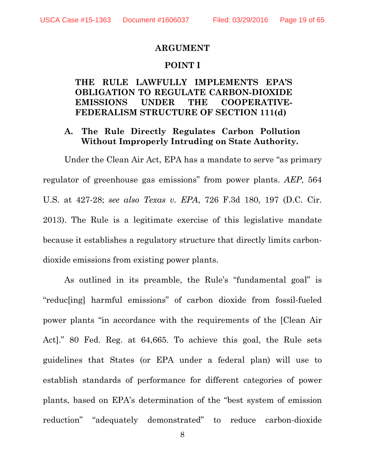#### **ARGUMENT**

#### <span id="page-18-4"></span>**POINT I**

#### <span id="page-18-2"></span><span id="page-18-1"></span><span id="page-18-0"></span>**THE RULE LAWFULLY IMPLEMENTS EPA'S OBLIGATION TO REGULATE CARBON-DIOXIDE EMISSIONS UNDER THE COOPERATIVE-FEDERALISM STRUCTURE OF SECTION 111(d)**

#### <span id="page-18-5"></span><span id="page-18-3"></span>**A. The Rule Directly Regulates Carbon Pollution Without Improperly Intruding on State Authority.**

Under the Clean Air Act, EPA has a mandate to serve "as primary regulator of greenhouse gas emissions" from power plants. *AEP*, 564 U.S. at 427-28; *see also Texas v. EPA*, 726 F.3d 180, 197 (D.C. Cir. 2013). The Rule is a legitimate exercise of this legislative mandate because it establishes a regulatory structure that directly limits carbondioxide emissions from existing power plants.

As outlined in its preamble, the Rule's "fundamental goal" is "reduc[ing] harmful emissions" of carbon dioxide from fossil-fueled power plants "in accordance with the requirements of the [Clean Air Act]." 80 Fed. Reg. at 64,665. To achieve this goal, the Rule sets guidelines that States (or EPA under a federal plan) will use to establish standards of performance for different categories of power plants, based on EPA's determination of the "best system of emission reduction" "adequately demonstrated" to reduce carbon-dioxide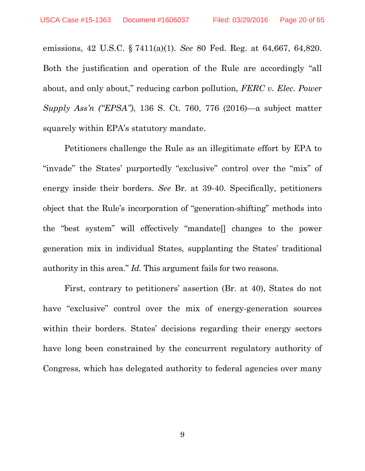<span id="page-19-0"></span>emissions, 42 U.S.C. § 7411(a)(1). *See* 80 Fed. Reg. at 64,667, 64,820. Both the justification and operation of the Rule are accordingly "all about, and only about," reducing carbon pollution, *FERC v. Elec. Power Supply Ass'n ("EPSA")*, 136 S. Ct. 760, 776 (2016)—a subject matter squarely within EPA's statutory mandate.

Petitioners challenge the Rule as an illegitimate effort by EPA to "invade" the States' purportedly "exclusive" control over the "mix" of energy inside their borders. *See* Br. at 39-40. Specifically, petitioners object that the Rule's incorporation of "generation-shifting" methods into the "best system" will effectively "mandate[] changes to the power generation mix in individual States, supplanting the States' traditional authority in this area." *Id.* This argument fails for two reasons.

First, contrary to petitioners' assertion (Br. at 40), States do not have "exclusive" control over the mix of energy-generation sources within their borders. States' decisions regarding their energy sectors have long been constrained by the concurrent regulatory authority of Congress, which has delegated authority to federal agencies over many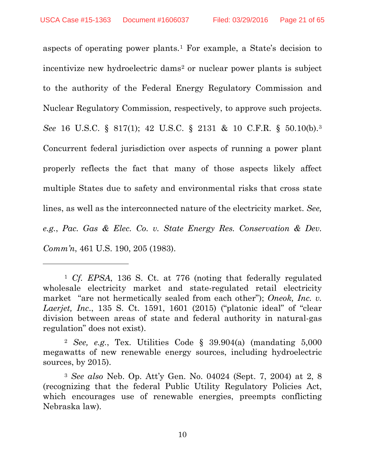<span id="page-20-2"></span>l

<span id="page-20-5"></span><span id="page-20-4"></span><span id="page-20-3"></span>aspects of operating power plants.[1](#page-20-8) For example, a State's decision to incentivize new hydroelectric dams<sup>[2](#page-20-9)</sup> or nuclear power plants is subject to the authority of the Federal Energy Regulatory Commission and Nuclear Regulatory Commission, respectively, to approve such projects. *See* 16 U.S.C. § 817(1); 42 U.S.C. § 2131 & 10 C.F.R. § 50.10(b).[3](#page-20-10) Concurrent federal jurisdiction over aspects of running a power plant properly reflects the fact that many of those aspects likely affect multiple States due to safety and environmental risks that cross state lines, as well as the interconnected nature of the electricity market. *See, e.g.*, *Pac. Gas & Elec. Co. v. State Energy Res. Conservation & Dev. Comm'n*, 461 U.S. 190, 205 (1983).

<span id="page-20-8"></span><span id="page-20-1"></span><span id="page-20-0"></span><sup>1</sup> *Cf. EPSA*, 136 S. Ct. at 776 (noting that federally regulated wholesale electricity market and state-regulated retail electricity market "are not hermetically sealed from each other"); *Oneok, Inc. v. Laerjet, Inc*., 135 S. Ct. 1591, 1601 (2015) ("platonic ideal" of "clear division between areas of state and federal authority in natural-gas regulation" does not exist).

<span id="page-20-9"></span><span id="page-20-6"></span><sup>2</sup> *See, e.g.*, Tex. Utilities Code § 39.904(a) (mandating 5,000 megawatts of new renewable energy sources, including hydroelectric sources, by 2015).

<span id="page-20-10"></span><span id="page-20-7"></span><sup>3</sup> *See also* Neb. Op. Att'y Gen. No. 04024 (Sept. 7, 2004) at 2, 8 (recognizing that the federal Public Utility Regulatory Policies Act, which encourages use of renewable energies, preempts conflicting Nebraska law).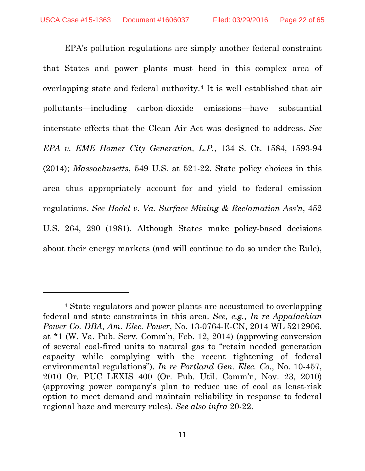<span id="page-21-2"></span><span id="page-21-0"></span>EPA's pollution regulations are simply another federal constraint that States and power plants must heed in this complex area of overlapping state and federal authority.[4](#page-21-5) It is well established that air pollutants—including carbon-dioxide emissions—have substantial interstate effects that the Clean Air Act was designed to address. *See EPA v. EME Homer City Generation, L.P.*, 134 S. Ct. 1584, 1593-94 (2014); *Massachusetts*, 549 U.S. at 521-22. State policy choices in this area thus appropriately account for and yield to federal emission regulations. *See Hodel v. Va. Surface Mining & Reclamation Ass'n*, 452 U.S. 264, 290 (1981). Although States make policy-based decisions about their energy markets (and will continue to do so under the Rule),

<span id="page-21-3"></span><span id="page-21-1"></span>l

<span id="page-21-5"></span><span id="page-21-4"></span><sup>4</sup> State regulators and power plants are accustomed to overlapping federal and state constraints in this area. *See, e.g.*, *In re Appalachian Power Co. DBA, Am. Elec. Power*, No. 13-0764-E-CN, 2014 WL 5212906, at \*1 (W. Va. Pub. Serv. Comm'n, Feb. 12, 2014) (approving conversion of several coal-fired units to natural gas to "retain needed generation capacity while complying with the recent tightening of federal environmental regulations"). *In re Portland Gen. Elec. Co.*, No. 10-457, 2010 Or. PUC LEXIS 400 (Or. Pub. Util. Comm'n, Nov. 23, 2010) (approving power company's plan to reduce use of coal as least-risk option to meet demand and maintain reliability in response to federal regional haze and mercury rules). *See also infra* 20-22.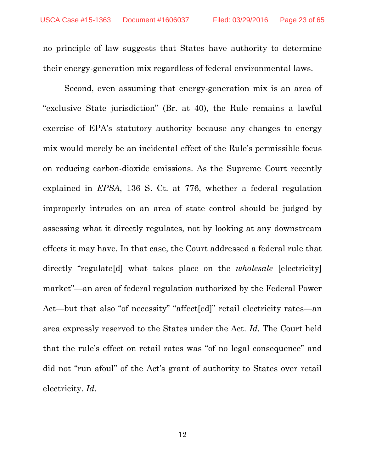no principle of law suggests that States have authority to determine their energy-generation mix regardless of federal environmental laws.

<span id="page-22-0"></span>Second, even assuming that energy-generation mix is an area of "exclusive State jurisdiction" (Br. at 40), the Rule remains a lawful exercise of EPA's statutory authority because any changes to energy mix would merely be an incidental effect of the Rule's permissible focus on reducing carbon-dioxide emissions. As the Supreme Court recently explained in *EPSA*, 136 S. Ct. at 776, whether a federal regulation improperly intrudes on an area of state control should be judged by assessing what it directly regulates, not by looking at any downstream effects it may have. In that case, the Court addressed a federal rule that directly "regulate[d] what takes place on the *wholesale* [electricity] market"—an area of federal regulation authorized by the Federal Power Act—but that also "of necessity" "affect[ed]" retail electricity rates—an area expressly reserved to the States under the Act. *Id.* The Court held that the rule's effect on retail rates was "of no legal consequence" and did not "run afoul" of the Act's grant of authority to States over retail electricity. *Id.*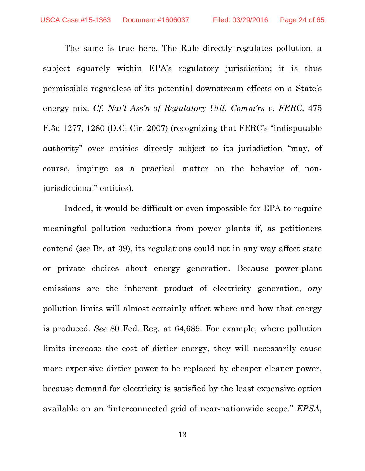<span id="page-23-1"></span>The same is true here. The Rule directly regulates pollution, a subject squarely within EPA's regulatory jurisdiction; it is thus permissible regardless of its potential downstream effects on a State's energy mix. *Cf. Nat'l Ass'n of Regulatory Util. Comm'rs v. FERC*, 475 F.3d 1277, 1280 (D.C. Cir. 2007) (recognizing that FERC's "indisputable authority" over entities directly subject to its jurisdiction "may, of course, impinge as a practical matter on the behavior of nonjurisdictional" entities).

<span id="page-23-0"></span>Indeed, it would be difficult or even impossible for EPA to require meaningful pollution reductions from power plants if, as petitioners contend (*see* Br. at 39), its regulations could not in any way affect state or private choices about energy generation. Because power-plant emissions are the inherent product of electricity generation, *any* pollution limits will almost certainly affect where and how that energy is produced. *See* 80 Fed. Reg. at 64,689. For example, where pollution limits increase the cost of dirtier energy, they will necessarily cause more expensive dirtier power to be replaced by cheaper cleaner power, because demand for electricity is satisfied by the least expensive option available on an "interconnected grid of near-nationwide scope." *EPSA*,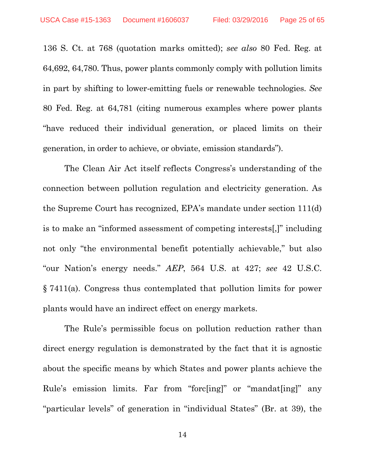136 S. Ct. at 768 (quotation marks omitted); *see also* 80 Fed. Reg. at 64,692, 64,780. Thus, power plants commonly comply with pollution limits in part by shifting to lower-emitting fuels or renewable technologies. *See* 80 Fed. Reg. at 64,781 (citing numerous examples where power plants "have reduced their individual generation, or placed limits on their generation, in order to achieve, or obviate, emission standards").

The Clean Air Act itself reflects Congress's understanding of the connection between pollution regulation and electricity generation. As the Supreme Court has recognized, EPA's mandate under section 111(d) is to make an "informed assessment of competing interests[,]" including not only "the environmental benefit potentially achievable," but also "our Nation's energy needs." *AEP*, 564 U.S. at 427; *see* 42 U.S.C. § 7411(a). Congress thus contemplated that pollution limits for power plants would have an indirect effect on energy markets.

<span id="page-24-0"></span>The Rule's permissible focus on pollution reduction rather than direct energy regulation is demonstrated by the fact that it is agnostic about the specific means by which States and power plants achieve the Rule's emission limits. Far from "forc[ing]" or "mandat[ing]" any "particular levels" of generation in "individual States" (Br. at 39), the

<span id="page-24-1"></span>14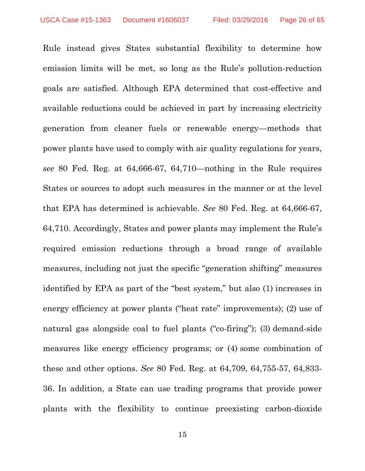Rule instead gives States substantial flexibility to determine how emission limits will be met, so long as the Rule's pollution-reduction goals are satisfied. Although EPA determined that cost-effective and available reductions could be achieved in part by increasing electricity generation from cleaner fuels or renewable energy—methods that power plants have used to comply with air quality regulations for years, *see* 80 Fed. Reg. at 64,666-67, 64,710—nothing in the Rule requires States or sources to adopt such measures in the manner or at the level that EPA has determined is achievable. *See* 80 Fed. Reg. at 64,666-67, 64,710. Accordingly, States and power plants may implement the Rule's required emission reductions through a broad range of available measures, including not just the specific "generation shifting" measures identified by EPA as part of the "best system," but also (1) increases in energy efficiency at power plants ("heat rate" improvements); (2) use of natural gas alongside coal to fuel plants ("co-firing"); (3) demand-side measures like energy efficiency programs; or (4) some combination of these and other options. *See* 80 Fed. Reg. at 64,709, 64,755-57, 64,833- 36. In addition, a State can use trading programs that provide power plants with the flexibility to continue preexisting carbon-dioxide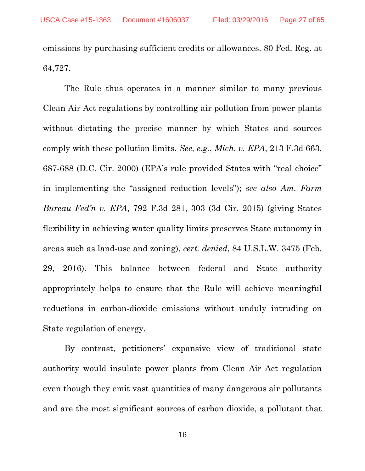emissions by purchasing sufficient credits or allowances. 80 Fed. Reg. at 64,727.

<span id="page-26-1"></span><span id="page-26-0"></span>The Rule thus operates in a manner similar to many previous Clean Air Act regulations by controlling air pollution from power plants without dictating the precise manner by which States and sources comply with these pollution limits. *See, e.g.*, *Mich. v. EPA*, 213 F.3d 663, 687-688 (D.C. Cir. 2000) (EPA's rule provided States with "real choice" in implementing the "assigned reduction levels"); *see also Am. Farm Bureau Fed'n v. EPA*, 792 F.3d 281, 303 (3d Cir. 2015) (giving States flexibility in achieving water quality limits preserves State autonomy in areas such as land-use and zoning), *cert. denied*, 84 U.S.L.W. 3475 (Feb. 29, 2016). This balance between federal and State authority appropriately helps to ensure that the Rule will achieve meaningful reductions in carbon-dioxide emissions without unduly intruding on State regulation of energy.

By contrast, petitioners' expansive view of traditional state authority would insulate power plants from Clean Air Act regulation even though they emit vast quantities of many dangerous air pollutants and are the most significant sources of carbon dioxide, a pollutant that

16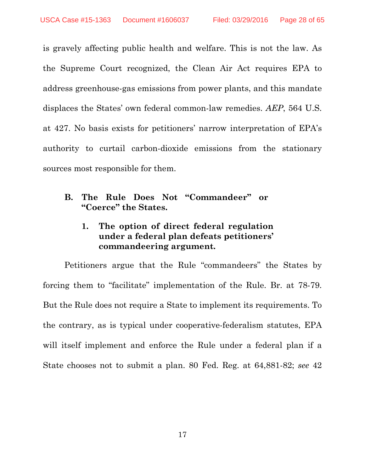is gravely affecting public health and welfare. This is not the law. As the Supreme Court recognized, the Clean Air Act requires EPA to address greenhouse-gas emissions from power plants, and this mandate displaces the States' own federal common-law remedies. *AEP*, 564 U.S. at 427. No basis exists for petitioners' narrow interpretation of EPA's authority to curtail carbon-dioxide emissions from the stationary sources most responsible for them.

#### <span id="page-27-1"></span><span id="page-27-0"></span>**B. The Rule Does Not "Commandeer" or "Coerce" the States.**

#### <span id="page-27-2"></span>**1. The option of direct federal regulation under a federal plan defeats petitioners' commandeering argument.**

Petitioners argue that the Rule "commandeers" the States by forcing them to "facilitate" implementation of the Rule. Br. at 78-79. But the Rule does not require a State to implement its requirements. To the contrary, as is typical under cooperative-federalism statutes, EPA will itself implement and enforce the Rule under a federal plan if a State chooses not to submit a plan. 80 Fed. Reg. at 64,881-82; *see* 42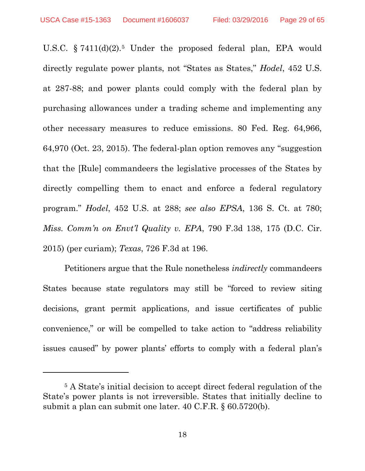$\overline{a}$ 

<span id="page-28-1"></span>U.S.C.  $\S 7411(d)(2).$ <sup>[5](#page-28-5)</sup> Under the proposed federal plan, EPA would directly regulate power plants, not "States as States," *Hodel*, 452 U.S. at 287-88; and power plants could comply with the federal plan by purchasing allowances under a trading scheme and implementing any other necessary measures to reduce emissions. 80 Fed. Reg. 64,966, 64,970 (Oct. 23, 2015). The federal-plan option removes any "suggestion that the [Rule] commandeers the legislative processes of the States by directly compelling them to enact and enforce a federal regulatory program." *Hodel*, 452 U.S. at 288; *see also EPSA*, 136 S. Ct. at 780; *Miss. Comm'n on Envt'l Quality v. EPA*, 790 F.3d 138, 175 (D.C. Cir. 2015) (per curiam); *Texas*, 726 F.3d at 196.

<span id="page-28-3"></span><span id="page-28-2"></span><span id="page-28-0"></span>Petitioners argue that the Rule nonetheless *indirectly* commandeers States because state regulators may still be "forced to review siting decisions, grant permit applications, and issue certificates of public convenience," or will be compelled to take action to "address reliability issues caused" by power plants' efforts to comply with a federal plan's

<span id="page-28-5"></span><span id="page-28-4"></span><sup>5</sup> A State's initial decision to accept direct federal regulation of the State's power plants is not irreversible. States that initially decline to submit a plan can submit one later. 40 C.F.R. § 60.5720(b).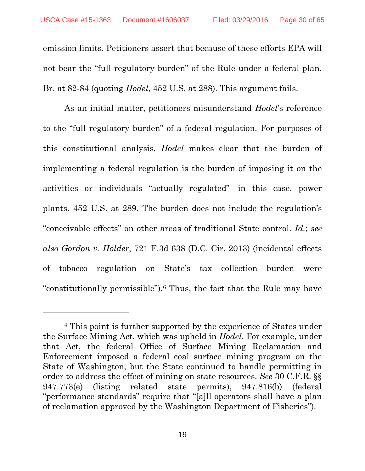emission limits. Petitioners assert that because of these efforts EPA will not bear the "full regulatory burden" of the Rule under a federal plan. Br. at 82-84 (quoting *Hodel*, 452 U.S. at 288). This argument fails.

As an initial matter, petitioners misunderstand *Hodel*'s reference to the "full regulatory burden" of a federal regulation. For purposes of this constitutional analysis, *Hodel* makes clear that the burden of implementing a federal regulation is the burden of imposing it on the activities or individuals "actually regulated"—in this case, power plants. 452 U.S. at 289. The burden does not include the regulation's "conceivable effects" on other areas of traditional State control. *Id.*; *see also Gordon v. Holder*, 721 F.3d 638 (D.C. Cir. 2013) (incidental effects of tobacco regulation on State's tax collection burden were "constitutionally permissible").[6](#page-29-2) Thus, the fact that the Rule may have

<span id="page-29-0"></span>l

<span id="page-29-2"></span><span id="page-29-1"></span><sup>6</sup> This point is further supported by the experience of States under the Surface Mining Act, which was upheld in *Hodel*. For example, under that Act, the federal Office of Surface Mining Reclamation and Enforcement imposed a federal coal surface mining program on the State of Washington, but the State continued to handle permitting in order to address the effect of mining on state resources. *See* 30 C.F.R. §§ 947.773(e) (listing related state permits), 947.816(b) (federal "performance standards" require that "[a]ll operators shall have a plan of reclamation approved by the Washington Department of Fisheries").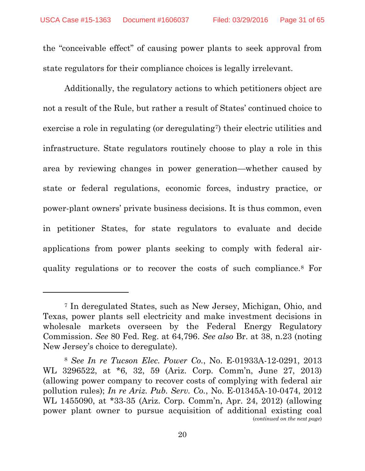the "conceivable effect" of causing power plants to seek approval from state regulators for their compliance choices is legally irrelevant.

Additionally, the regulatory actions to which petitioners object are not a result of the Rule, but rather a result of States' continued choice to exercise a role in regulating (or deregulating[7](#page-30-2)) their electric utilities and infrastructure. State regulators routinely choose to play a role in this area by reviewing changes in power generation—whether caused by state or federal regulations, economic forces, industry practice, or power-plant owners' private business decisions. It is thus common, even in petitioner States, for state regulators to evaluate and decide applications from power plants seeking to comply with federal airquality regulations or to recover the costs of such compliance.[8](#page-30-3) For

l

<span id="page-30-2"></span><sup>7</sup> In deregulated States, such as New Jersey, Michigan, Ohio, and Texas, power plants sell electricity and make investment decisions in wholesale markets overseen by the Federal Energy Regulatory Commission. *See* 80 Fed. Reg. at 64,796. *See also* Br. at 38, n.23 (noting New Jersey's choice to deregulate).

<span id="page-30-3"></span><span id="page-30-1"></span><span id="page-30-0"></span><sup>8</sup> *See In re Tucson Elec. Power Co.*, No. E-01933A-12-0291, 2013 WL 3296522, at \*6, 32, 59 (Ariz. Corp. Comm'n, June 27, 2013) (allowing power company to recover costs of complying with federal air pollution rules); *In re Ariz. Pub. Serv. Co.*, No. E-01345A-10-0474, 2012 WL 1455090, at \*33-35 (Ariz. Corp. Comm'n, Apr. 24, 2012) (allowing power plant owner to pursue acquisition of additional existing coal (*continued on the next page*)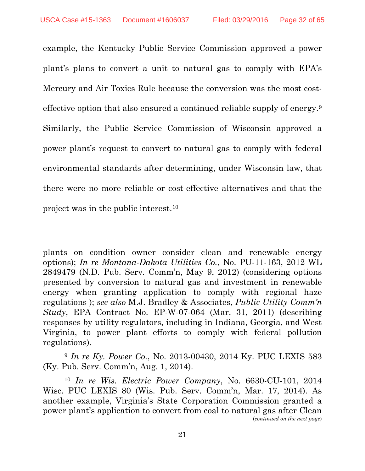l

example, the Kentucky Public Service Commission approved a power plant's plans to convert a unit to natural gas to comply with EPA's Mercury and Air Toxics Rule because the conversion was the most costeffective option that also ensured a continued reliable supply of energy.[9](#page-31-4) Similarly, the Public Service Commission of Wisconsin approved a power plant's request to convert to natural gas to comply with federal environmental standards after determining, under Wisconsin law, that there were no more reliable or cost-effective alternatives and that the project was in the public interest.[10](#page-31-5)

<span id="page-31-3"></span><span id="page-31-1"></span>plants on condition owner consider clean and renewable energy options); *In re Montana-Dakota Utilities Co.*, No. PU-11-163, 2012 WL 2849479 (N.D. Pub. Serv. Comm'n, May 9, 2012) (considering options presented by conversion to natural gas and investment in renewable energy when granting application to comply with regional haze regulations ); *see also* M.J. Bradley & Associates, *Public Utility Comm'n Study*, EPA Contract No. EP-W-07-064 (Mar. 31, 2011) (describing responses by utility regulators, including in Indiana, Georgia, and West Virginia, to power plant efforts to comply with federal pollution regulations).

<span id="page-31-4"></span><span id="page-31-0"></span><sup>9</sup> *In re Ky. Power Co.*, No. 2013-00430, 2014 Ky. PUC LEXIS 583 (Ky. Pub. Serv. Comm'n, Aug. 1, 2014).

<span id="page-31-5"></span><span id="page-31-2"></span><sup>10</sup> *In re Wis. Electric Power Company*, No. 6630-CU-101, 2014 Wisc. PUC LEXIS 80 (Wis. Pub. Serv. Comm'n, Mar. 17, 2014). As another example, Virginia's State Corporation Commission granted a power plant's application to convert from coal to natural gas after Clean (*continued on the next page*)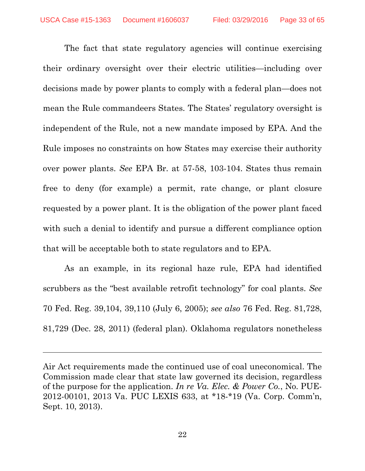The fact that state regulatory agencies will continue exercising their ordinary oversight over their electric utilities—including over decisions made by power plants to comply with a federal plan—does not mean the Rule commandeers States. The States' regulatory oversight is independent of the Rule, not a new mandate imposed by EPA. And the Rule imposes no constraints on how States may exercise their authority over power plants. *See* EPA Br. at 57-58, 103-104. States thus remain free to deny (for example) a permit, rate change, or plant closure requested by a power plant. It is the obligation of the power plant faced with such a denial to identify and pursue a different compliance option that will be acceptable both to state regulators and to EPA.

<span id="page-32-2"></span><span id="page-32-1"></span>As an example, in its regional haze rule, EPA had identified scrubbers as the "best available retrofit technology" for coal plants. *See* 70 Fed. Reg. 39,104, 39,110 (July 6, 2005); *see also* 76 Fed. Reg. 81,728, 81,729 (Dec. 28, 2011) (federal plan). Oklahoma regulators nonetheless

<span id="page-32-0"></span>Air Act requirements made the continued use of coal uneconomical. The Commission made clear that state law governed its decision, regardless of the purpose for the application. *In re Va. Elec. & Power Co.*, No. PUE-2012-00101, 2013 Va. PUC LEXIS 633, at \*18-\*19 (Va. Corp. Comm'n, Sept. 10, 2013).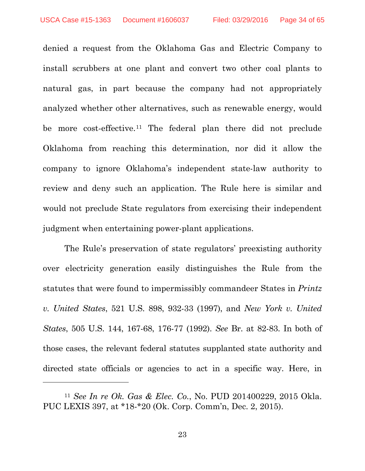l

denied a request from the Oklahoma Gas and Electric Company to install scrubbers at one plant and convert two other coal plants to natural gas, in part because the company had not appropriately analyzed whether other alternatives, such as renewable energy, would be more cost-effective.[11](#page-33-3) The federal plan there did not preclude Oklahoma from reaching this determination, nor did it allow the company to ignore Oklahoma's independent state-law authority to review and deny such an application. The Rule here is similar and would not preclude State regulators from exercising their independent judgment when entertaining power-plant applications.

<span id="page-33-1"></span><span id="page-33-0"></span>The Rule's preservation of state regulators' preexisting authority over electricity generation easily distinguishes the Rule from the statutes that were found to impermissibly commandeer States in *Printz v. United States*, 521 U.S. 898, 932-33 (1997), and *New York v. United States*, 505 U.S. 144, 167-68, 176-77 (1992). *See* Br. at 82-83. In both of those cases, the relevant federal statutes supplanted state authority and directed state officials or agencies to act in a specific way. Here, in

<span id="page-33-3"></span><span id="page-33-2"></span><sup>11</sup> *See In re Ok. Gas & Elec. Co.*, No. PUD 201400229, 2015 Okla. PUC LEXIS 397, at \*18-\*20 (Ok. Corp. Comm'n, Dec. 2, 2015).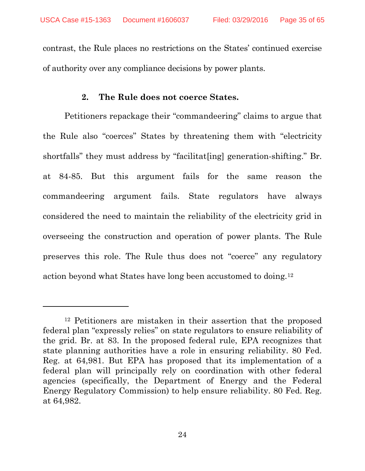contrast, the Rule places no restrictions on the States' continued exercise of authority over any compliance decisions by power plants.

#### **2. The Rule does not coerce States.**

<span id="page-34-0"></span>Petitioners repackage their "commandeering" claims to argue that the Rule also "coerces" States by threatening them with "electricity shortfalls" they must address by "facilitat[ing] generation-shifting." Br. at 84-85. But this argument fails for the same reason the commandeering argument fails. State regulators have always considered the need to maintain the reliability of the electricity grid in overseeing the construction and operation of power plants. The Rule preserves this role. The Rule thus does not "coerce" any regulatory action beyond what States have long been accustomed to doing.[12](#page-34-1)

<span id="page-34-1"></span><sup>12</sup> Petitioners are mistaken in their assertion that the proposed federal plan "expressly relies" on state regulators to ensure reliability of the grid. Br. at 83. In the proposed federal rule, EPA recognizes that state planning authorities have a role in ensuring reliability. 80 Fed. Reg. at 64,981. But EPA has proposed that its implementation of a federal plan will principally rely on coordination with other federal agencies (specifically, the Department of Energy and the Federal Energy Regulatory Commission) to help ensure reliability. 80 Fed. Reg. at 64,982.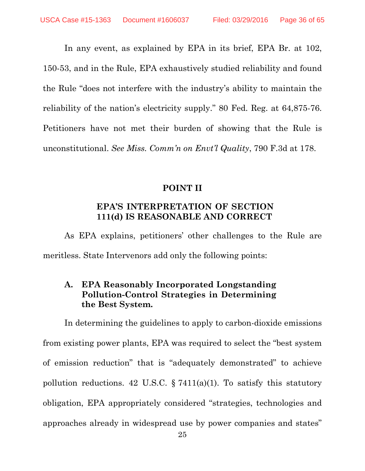In any event, as explained by EPA in its brief, EPA Br. at 102, 150-53, and in the Rule, EPA exhaustively studied reliability and found the Rule "does not interfere with the industry's ability to maintain the reliability of the nation's electricity supply." 80 Fed. Reg. at 64,875-76. Petitioners have not met their burden of showing that the Rule is unconstitutional. *See Miss. Comm'n on Envt'l Quality*, 790 F.3d at 178.

#### <span id="page-35-3"></span>**POINT II**

#### **EPA'S INTERPRETATION OF SECTION 111(d) IS REASONABLE AND CORRECT**

<span id="page-35-1"></span><span id="page-35-0"></span>As EPA explains, petitioners' other challenges to the Rule are meritless. State Intervenors add only the following points:

#### <span id="page-35-2"></span>**A. EPA Reasonably Incorporated Longstanding Pollution-Control Strategies in Determining the Best System.**

In determining the guidelines to apply to carbon-dioxide emissions from existing power plants, EPA was required to select the "best system of emission reduction" that is "adequately demonstrated" to achieve pollution reductions. 42 U.S.C.  $\S 7411(a)(1)$ . To satisfy this statutory obligation, EPA appropriately considered "strategies, technologies and approaches already in widespread use by power companies and states"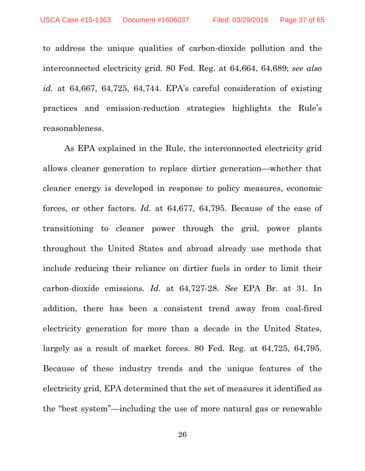to address the unique qualities of carbon-dioxide pollution and the interconnected electricity grid. 80 Fed. Reg. at 64,664, 64,689; *see also id.* at 64,667, 64,725, 64,744. EPA's careful consideration of existing practices and emission-reduction strategies highlights the Rule's reasonableness.

As EPA explained in the Rule, the interconnected electricity grid allows cleaner generation to replace dirtier generation—whether that cleaner energy is developed in response to policy measures, economic forces, or other factors. *Id.* at 64,677, 64,795. Because of the ease of transitioning to cleaner power through the grid, power plants throughout the United States and abroad already use methods that include reducing their reliance on dirtier fuels in order to limit their carbon-dioxide emissions. *Id.* at 64,727-28. *See* EPA Br. at 31. In addition, there has been a consistent trend away from coal-fired electricity generation for more than a decade in the United States, largely as a result of market forces. 80 Fed. Reg. at 64,725, 64,795. Because of these industry trends and the unique features of the electricity grid, EPA determined that the set of measures it identified as the "best system"—including the use of more natural gas or renewable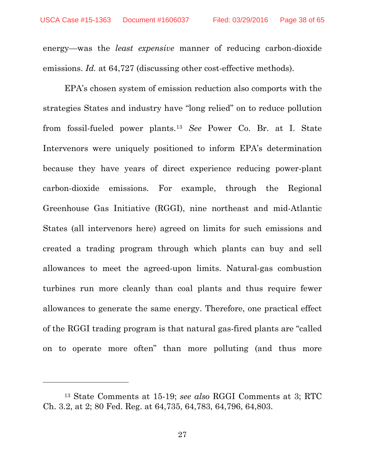energy—was the *least expensive* manner of reducing carbon-dioxide emissions. *Id.* at 64,727 (discussing other cost-effective methods).

EPA's chosen system of emission reduction also comports with the strategies States and industry have "long relied" on to reduce pollution from fossil-fueled power plants.[13](#page-37-0) *See* Power Co. Br. at I. State Intervenors were uniquely positioned to inform EPA's determination because they have years of direct experience reducing power-plant carbon-dioxide emissions. For example, through the Regional Greenhouse Gas Initiative (RGGI), nine northeast and mid-Atlantic States (all intervenors here) agreed on limits for such emissions and created a trading program through which plants can buy and sell allowances to meet the agreed-upon limits. Natural-gas combustion turbines run more cleanly than coal plants and thus require fewer allowances to generate the same energy. Therefore, one practical effect of the RGGI trading program is that natural gas-fired plants are "called on to operate more often" than more polluting (and thus more

l

<span id="page-37-0"></span><sup>13</sup> State Comments at 15-19; *see also* RGGI Comments at 3; RTC Ch. 3.2, at 2; 80 Fed. Reg. at 64,735, 64,783, 64,796, 64,803.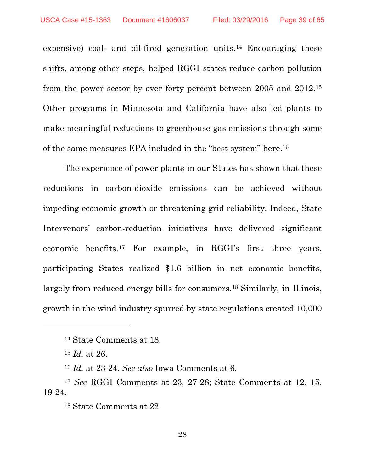expensive) coal- and oil-fired generation units.<sup>[14](#page-38-0)</sup> Encouraging these shifts, among other steps, helped RGGI states reduce carbon pollution from the power sector by over forty percent between 2005 and 2012.[15](#page-38-1) Other programs in Minnesota and California have also led plants to make meaningful reductions to greenhouse-gas emissions through some of the same measures EPA included in the "best system" here.[16](#page-38-2)

The experience of power plants in our States has shown that these reductions in carbon-dioxide emissions can be achieved without impeding economic growth or threatening grid reliability. Indeed, State Intervenors' carbon-reduction initiatives have delivered significant economic benefits.[17](#page-38-3) For example, in RGGI's first three years, participating States realized \$1.6 billion in net economic benefits, largely from reduced energy bills for consumers.<sup>[18](#page-38-4)</sup> Similarly, in Illinois, growth in the wind industry spurred by state regulations created 10,000

<span id="page-38-1"></span><span id="page-38-0"></span> $\overline{a}$ 

28

<sup>14</sup> State Comments at 18.

<sup>15</sup> *Id.* at 26.

<sup>16</sup> *Id.* at 23-24. *See also* Iowa Comments at 6.

<span id="page-38-4"></span><span id="page-38-3"></span><span id="page-38-2"></span><sup>17</sup> *See* RGGI Comments at 23, 27-28; State Comments at 12, 15, 19-24.

<sup>18</sup> State Comments at 22.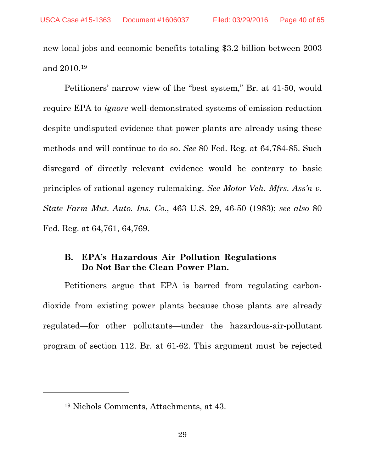new local jobs and economic benefits totaling \$3.2 billion between 2003 and 2010.[19](#page-39-2)

Petitioners' narrow view of the "best system," Br. at 41-50, would require EPA to *ignore* well-demonstrated systems of emission reduction despite undisputed evidence that power plants are already using these methods and will continue to do so. *See* 80 Fed. Reg. at 64,784-85. Such disregard of directly relevant evidence would be contrary to basic principles of rational agency rulemaking. *See Motor Veh. Mfrs. Ass'n v. State Farm Mut. Auto. Ins. Co.*, 463 U.S. 29, 46-50 (1983); *see also* 80 Fed. Reg. at 64,761, 64,769.

#### <span id="page-39-1"></span><span id="page-39-0"></span>**B. EPA's Hazardous Air Pollution Regulations Do Not Bar the Clean Power Plan.**

Petitioners argue that EPA is barred from regulating carbondioxide from existing power plants because those plants are already regulated—for other pollutants—under the hazardous-air-pollutant program of section 112. Br. at 61-62. This argument must be rejected

<span id="page-39-2"></span>l

<sup>19</sup> Nichols Comments, Attachments, at 43.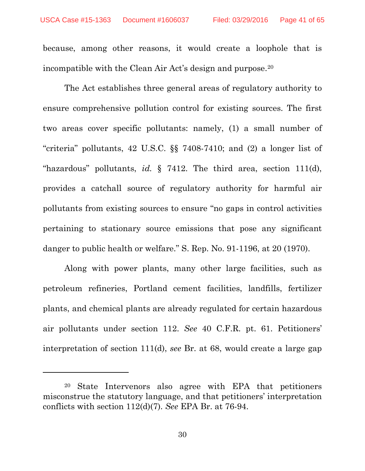because, among other reasons, it would create a loophole that is incompatible with the Clean Air Act's design and purpose.[20](#page-40-4)

<span id="page-40-1"></span><span id="page-40-0"></span>The Act establishes three general areas of regulatory authority to ensure comprehensive pollution control for existing sources. The first two areas cover specific pollutants: namely, (1) a small number of "criteria" pollutants, 42 U.S.C. §§ 7408-7410; and (2) a longer list of "hazardous" pollutants, *id.* § 7412. The third area, section 111(d), provides a catchall source of regulatory authority for harmful air pollutants from existing sources to ensure "no gaps in control activities pertaining to stationary source emissions that pose any significant danger to public health or welfare." S. Rep. No. 91-1196, at 20 (1970).

<span id="page-40-3"></span><span id="page-40-2"></span>Along with power plants, many other large facilities, such as petroleum refineries, Portland cement facilities, landfills, fertilizer plants, and chemical plants are already regulated for certain hazardous air pollutants under section 112. *See* 40 C.F.R. pt. 61. Petitioners' interpretation of section 111(d), *see* Br. at 68, would create a large gap

<span id="page-40-4"></span><sup>20</sup> State Intervenors also agree with EPA that petitioners misconstrue the statutory language, and that petitioners' interpretation conflicts with section 112(d)(7). *See* EPA Br. at 76-94.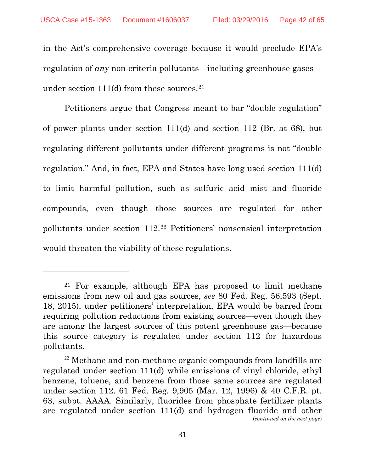in the Act's comprehensive coverage because it would preclude EPA's regulation of *any* non-criteria pollutants—including greenhouse gases under section  $111(d)$  from these sources.<sup>[21](#page-41-3)</sup>

Petitioners argue that Congress meant to bar "double regulation" of power plants under section 111(d) and section 112 (Br. at 68), but regulating different pollutants under different programs is not "double regulation." And, in fact, EPA and States have long used section 111(d) to limit harmful pollution, such as sulfuric acid mist and fluoride compounds, even though those sources are regulated for other pollutants under section 112.[22](#page-41-4) Petitioners' nonsensical interpretation would threaten the viability of these regulations.

<span id="page-41-3"></span><span id="page-41-2"></span><sup>21</sup> For example, although EPA has proposed to limit methane emissions from new oil and gas sources, *see* 80 Fed. Reg. 56,593 (Sept. 18, 2015), under petitioners' interpretation, EPA would be barred from requiring pollution reductions from existing sources—even though they are among the largest sources of this potent greenhouse gas—because this source category is regulated under section 112 for hazardous pollutants.

<span id="page-41-4"></span><span id="page-41-1"></span><span id="page-41-0"></span><sup>&</sup>lt;sup>22</sup> Methane and non-methane organic compounds from landfills are regulated under section 111(d) while emissions of vinyl chloride, ethyl benzene, toluene, and benzene from those same sources are regulated under section 112. 61 Fed. Reg. 9,905 (Mar. 12, 1996) & 40 C.F.R. pt. 63, subpt. AAAA. Similarly, fluorides from phosphate fertilizer plants are regulated under section 111(d) and hydrogen fluoride and other (*continued on the next page*)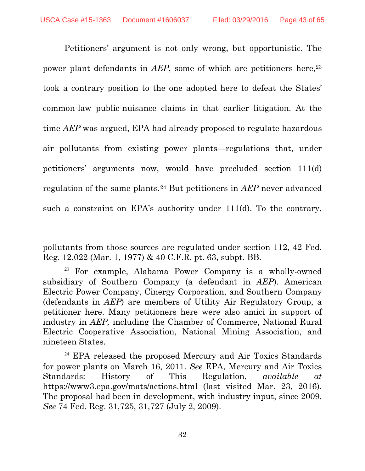Petitioners' argument is not only wrong, but opportunistic. The power plant defendants in *AEP*, some of which are petitioners here,<sup>[23](#page-42-4)</sup> took a contrary position to the one adopted here to defeat the States' common-law public-nuisance claims in that earlier litigation. At the time *AEP* was argued, EPA had already proposed to regulate hazardous air pollutants from existing power plants—regulations that, under petitioners' arguments now, would have precluded section 111(d) regulation of the same plants.[24](#page-42-5) But petitioners in *AEP* never advanced such a constraint on EPA's authority under 111(d). To the contrary,

<span id="page-42-1"></span><span id="page-42-0"></span>pollutants from those sources are regulated under section 112, 42 Fed. Reg. 12,022 (Mar. 1, 1977) & 40 C.F.R. pt. 63, subpt. BB.

<span id="page-42-4"></span><sup>23</sup> For example, Alabama Power Company is a wholly-owned subsidiary of Southern Company (a defendant in *AEP*). American Electric Power Company, Cinergy Corporation, and Southern Company (defendants in *AEP*) are members of Utility Air Regulatory Group, a petitioner here. Many petitioners here were also amici in support of industry in *AEP,* including the Chamber of Commerce, National Rural Electric Cooperative Association, National Mining Association, and nineteen States.

<span id="page-42-5"></span><span id="page-42-3"></span><span id="page-42-2"></span><sup>&</sup>lt;sup>24</sup> EPA released the proposed Mercury and Air Toxics Standards for power plants on March 16, 2011. *See* EPA, Mercury and Air Toxics Standards: History of This Regulation, *available at* <https://www3.epa.gov/mats/actions.html> (last visited Mar. 23, 2016). The proposal had been in development, with industry input, since 2009. *See* 74 Fed. Reg. 31,725, 31,727 (July 2, 2009).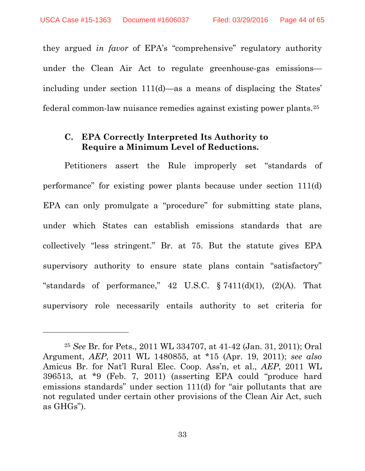$\overline{a}$ 

they argued *in favor* of EPA's "comprehensive" regulatory authority under the Clean Air Act to regulate greenhouse-gas emissions including under section 111(d)—as a means of displacing the States' federal common-law nuisance remedies against existing power plants[.25](#page-43-1)

#### <span id="page-43-0"></span>**C. EPA Correctly Interpreted Its Authority to Require a Minimum Level of Reductions.**

Petitioners assert the Rule improperly set "standards of performance" for existing power plants because under section 111(d) EPA can only promulgate a "procedure" for submitting state plans, under which States can establish emissions standards that are collectively "less stringent." Br. at 75. But the statute gives EPA supervisory authority to ensure state plans contain "satisfactory" "standards of performance," 42 U.S.C.  $\S 7411(d)(1)$ ,  $(2)(A)$ . That supervisory role necessarily entails authority to set criteria for

33

<span id="page-43-1"></span><sup>25</sup> *See* Br. for Pets., 2011 WL 334707, at 41-42 (Jan. 31, 2011); Oral Argument, *AEP*, 2011 WL 1480855, at \*15 (Apr. 19, 2011); *see also*  Amicus Br. for Nat'l Rural Elec. Coop. Ass'n, et al., *AEP*, 2011 WL 396513, at \*9 (Feb. 7, 2011) (asserting EPA could "produce hard emissions standards" under section 111(d) for "air pollutants that are not regulated under certain other provisions of the Clean Air Act, such as GHGs").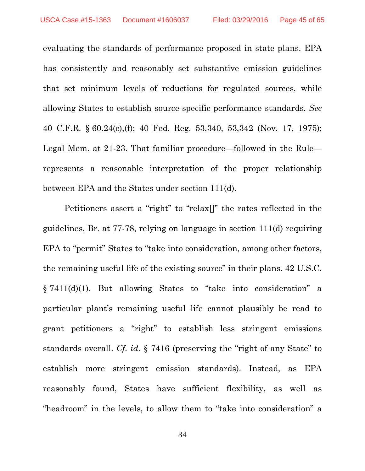<span id="page-44-2"></span><span id="page-44-1"></span>evaluating the standards of performance proposed in state plans. EPA has consistently and reasonably set substantive emission guidelines that set minimum levels of reductions for regulated sources, while allowing States to establish source-specific performance standards. *See* 40 C.F.R. § 60.24(c),(f); 40 Fed. Reg. 53,340, 53,342 (Nov. 17, 1975); Legal Mem. at 21-23. That familiar procedure—followed in the Rule represents a reasonable interpretation of the proper relationship between EPA and the States under section 111(d).

<span id="page-44-0"></span>Petitioners assert a "right" to "relax[]" the rates reflected in the guidelines, Br. at 77-78, relying on language in section 111(d) requiring EPA to "permit" States to "take into consideration, among other factors, the remaining useful life of the existing source" in their plans. 42 U.S.C. § 7411(d)(1). But allowing States to "take into consideration" a particular plant's remaining useful life cannot plausibly be read to grant petitioners a "right" to establish less stringent emissions standards overall. *Cf. id.* § 7416 (preserving the "right of any State" to establish more stringent emission standards). Instead, as EPA reasonably found, States have sufficient flexibility, as well as "headroom" in the levels, to allow them to "take into consideration" a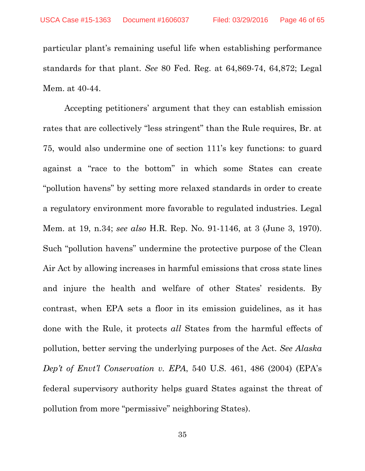particular plant's remaining useful life when establishing performance standards for that plant. *See* 80 Fed. Reg. at 64,869-74, 64,872; Legal Mem. at 40-44.

<span id="page-45-1"></span><span id="page-45-0"></span>Accepting petitioners' argument that they can establish emission rates that are collectively "less stringent" than the Rule requires, Br. at 75, would also undermine one of section 111's key functions: to guard against a "race to the bottom" in which some States can create "pollution havens" by setting more relaxed standards in order to create a regulatory environment more favorable to regulated industries. Legal Mem. at 19, n.34; *see also* H.R. Rep. No. 91-1146, at 3 (June 3, 1970). Such "pollution havens" undermine the protective purpose of the Clean Air Act by allowing increases in harmful emissions that cross state lines and injure the health and welfare of other States' residents. By contrast, when EPA sets a floor in its emission guidelines, as it has done with the Rule, it protects *all* States from the harmful effects of pollution, better serving the underlying purposes of the Act. *See Alaska Dep't of Envt'l Conservation v. EPA*, 540 U.S. 461, 486 (2004) (EPA's federal supervisory authority helps guard States against the threat of pollution from more "permissive" neighboring States).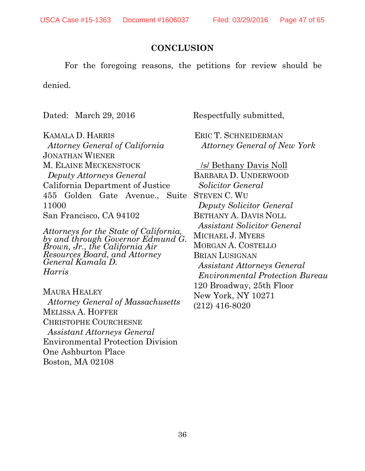#### **CONCLUSION**

For the foregoing reasons, the petitions for review should be

denied.

Dated: March 29, 2016 Respectfully submitted,

KAMALA D. HARRIS  *Attorney General of California* JONATHAN WIENER M. ELAINE MECKENSTOCK  *Deputy Attorneys General* California Department of Justice 455 Golden Gate Avenue., Suite 11000 San Francisco, CA 94102

*Attorneys for the State of California, by and through Governor Edmund G. Brown, Jr., the California Air Resources Board, and Attorney General Kamala D. Harris*

MAURA HEALEY  *Attorney General of Massachusetts* MELISSA A. HOFFER CHRISTOPHE COURCHESNE  *Assistant Attorneys General* Environmental Protection Division One Ashburton Place Boston, MA 02108

ERIC T. SCHNEIDERMAN *Attorney General of New York*

. /s/ Bethany Davis Noll

BARBARA D. UNDERWOOD  *Solicitor General* STEVEN C. WU  *Deputy Solicitor General* BETHANY A. DAVIS NOLL  *Assistant Solicitor General* MICHAEL J. MYERS MORGAN A. COSTELLO BRIAN LUSIGNAN  *Assistant Attorneys General Environmental Protection Bureau* 120 Broadway, 25th Floor New York, NY 10271 (212) 416-8020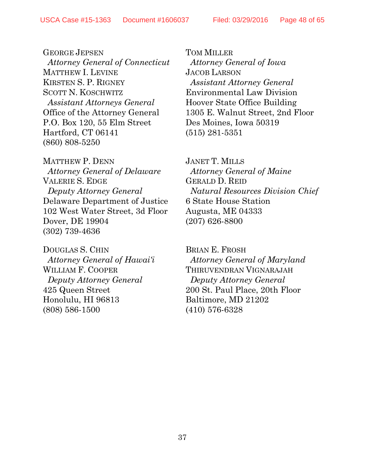GEORGE JEPSEN  *Attorney General of Connecticut* MATTHEW I. LEVINE KIRSTEN S. P. RIGNEY SCOTT N. KOSCHWITZ  *Assistant Attorneys General* Office of the Attorney General P.O. Box 120, 55 Elm Street Hartford, CT 06141 (860) 808-5250

MATTHEW P. DENN  *Attorney General of Delaware* VALERIE S. EDGE  *Deputy Attorney General* Delaware Department of Justice 102 West Water Street, 3d Floor Dover, DE 19904 (302) 739-4636

DOUGLAS S. CHIN  *Attorney General of Hawai'i* WILLIAM F. COOPER  *Deputy Attorney General* 425 Queen Street Honolulu, HI 96813 (808) 586-1500

TOM MILLER  *Attorney General of Iowa* JACOB LARSON  *Assistant Attorney General* Environmental Law Division Hoover State Office Building 1305 E. Walnut Street, 2nd Floor Des Moines, Iowa 50319 (515) 281-5351

JANET T. MILLS  *Attorney General of Maine* GERALD D. REID  *Natural Resources Division Chief* 6 State House Station Augusta, ME 04333 (207) 626-8800

BRIAN E. FROSH  *Attorney General of Maryland* THIRUVENDRAN VIGNARAJAH  *Deputy Attorney General* 200 St. Paul Place, 20th Floor Baltimore, MD 21202 (410) 576-6328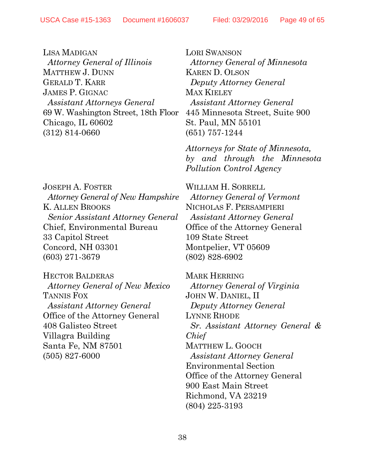LISA MADIGAN  *Attorney General of Illinois* MATTHEW J. DUNN GERALD T. KARR JAMES P. GIGNAC  *Assistant Attorneys General* 69 W. Washington Street, 18th Floor Chicago, IL 60602 (312) 814-0660

JOSEPH A. FOSTER  *Attorney General of New Hampshire* K. ALLEN BROOKS  *Senior Assistant Attorney General* Chief, Environmental Bureau 33 Capitol Street Concord, NH 03301 (603) 271-3679

HECTOR BALDERAS  *Attorney General of New Mexico* TANNIS FOX  *Assistant Attorney General* Office of the Attorney General 408 Galisteo Street Villagra Building Santa Fe, NM 87501 (505) 827-6000

LORI SWANSON  *Attorney General of Minnesota* KAREN D. OLSON  *Deputy Attorney General*  MAX KIELEY  *Assistant Attorney General*  445 Minnesota Street, Suite 900 St. Paul, MN 55101 (651) 757-1244

*Attorneys for State of Minnesota, by and through the Minnesota Pollution Control Agency*

WILLIAM H. SORRELL  *Attorney General of Vermont* NICHOLAS F. PERSAMPIERI  *Assistant Attorney General* Office of the Attorney General 109 State Street Montpelier, VT 05609 (802) 828-6902

MARK HERRING  *Attorney General of Virginia* JOHN W. DANIEL, II  *Deputy Attorney General* LYNNE RHODE  *Sr. Assistant Attorney General & Chief* MATTHEW L. GOOCH  *Assistant Attorney General* Environmental Section Office of the Attorney General 900 East Main Street Richmond, VA 23219 (804) 225-3193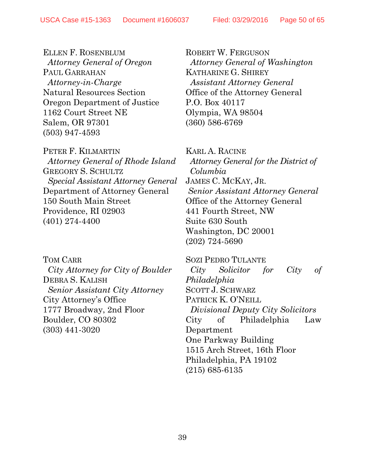ELLEN F. ROSENBLUM  *Attorney General of Oregon* PAUL GARRAHAN  *Attorney-in-Charge* Natural Resources Section Oregon Department of Justice 1162 Court Street NE Salem, OR 97301 (503) 947-4593

PETER F. KILMARTIN  *Attorney General of Rhode Island* GREGORY S. SCHULTZ  *Special Assistant Attorney General* Department of Attorney General 150 South Main Street Providence, RI 02903 (401) 274-4400

TOM CARR  *City Attorney for City of Boulder* DEBRA S. KALISH  *Senior Assistant City Attorney* City Attorney's Office 1777 Broadway, 2nd Floor Boulder, CO 80302 (303) 441-3020

ROBERT W. FERGUSON  *Attorney General of Washington* KATHARINE G. SHIREY  *Assistant Attorney General* Office of the Attorney General P.O. Box 40117 Olympia, WA 98504 (360) 586-6769

KARL A. RACINE *Attorney General for the District of Columbia* JAMES C. MCKAY, JR. *Senior Assistant Attorney General* Office of the Attorney General 441 Fourth Street, NW Suite 630 South Washington, DC 20001 (202) 724-5690

SOZI PEDRO TULANTE  *City Solicitor for City of Philadelphia* SCOTT J. SCHWARZ PATRICK K. O'NEILL  *Divisional Deputy City Solicitors* City of Philadelphia Law Department One Parkway Building 1515 Arch Street, 16th Floor Philadelphia, PA 19102 (215) 685-6135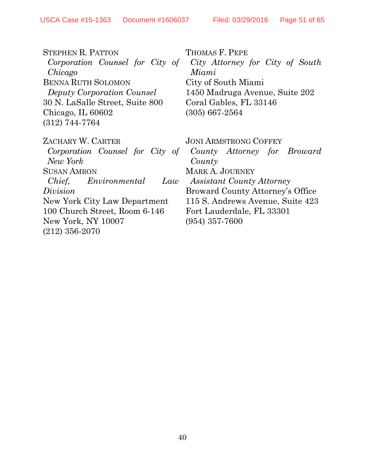| <b>STEPHEN R. PATTON</b>                                                                                                             | THOMAS F. PEPE                                                                                                                      |
|--------------------------------------------------------------------------------------------------------------------------------------|-------------------------------------------------------------------------------------------------------------------------------------|
| Corporation Counsel for City of                                                                                                      | City Attorney for City of South                                                                                                     |
| Chicago                                                                                                                              | Miami                                                                                                                               |
| <b>BENNA RUTH SOLOMON</b>                                                                                                            | City of South Miami                                                                                                                 |
| Deputy Corporation Counsel                                                                                                           | 1450 Madruga Avenue, Suite 202                                                                                                      |
| 30 N. LaSalle Street, Suite 800                                                                                                      | Coral Gables, FL 33146                                                                                                              |
| Chicago, IL 60602                                                                                                                    | $(305)$ 667-2564                                                                                                                    |
| $(312)$ 744-7764                                                                                                                     |                                                                                                                                     |
| ZACHARY W. CARTER<br>Corporation Counsel for City of<br>New York<br><b>SUSAN AMRON</b><br><i>Chief</i> , <i>Environmental</i><br>Law | <b>JONI ARMSTRONG COFFEY</b><br>County Attorney for Broward<br>County<br><b>MARK A. JOURNEY</b><br><b>Assistant County Attorney</b> |
| Division                                                                                                                             | <b>Broward County Attorney's Office</b>                                                                                             |
| New York City Law Department                                                                                                         | 115 S. Andrews Avenue, Suite 423                                                                                                    |
| 100 Church Street, Room 6-146                                                                                                        | Fort Lauderdale, FL 33301                                                                                                           |
| New York, NY 10007                                                                                                                   | $(954)$ 357-7600                                                                                                                    |
| $(212)$ 356-2070                                                                                                                     |                                                                                                                                     |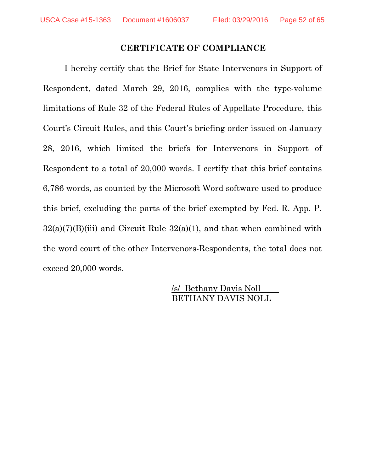#### **CERTIFICATE OF COMPLIANCE**

I hereby certify that the Brief for State Intervenors in Support of Respondent, dated March 29, 2016, complies with the type-volume limitations of Rule 32 of the Federal Rules of Appellate Procedure, this Court's Circuit Rules, and this Court's briefing order issued on January 28, 2016, which limited the briefs for Intervenors in Support of Respondent to a total of 20,000 words. I certify that this brief contains 6,786 words, as counted by the Microsoft Word software used to produce this brief, excluding the parts of the brief exempted by Fed. R. App. P.  $32(a)(7)(B)(iii)$  and Circuit Rule  $32(a)(1)$ , and that when combined with the word court of the other Intervenors-Respondents, the total does not exceed 20,000 words.

> /s/ Bethany Davis Noll BETHANY DAVIS NOLL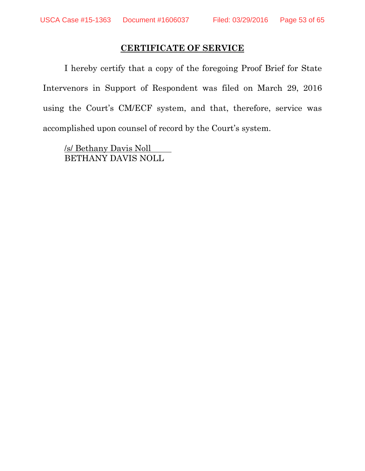#### **CERTIFICATE OF SERVICE**

I hereby certify that a copy of the foregoing Proof Brief for State Intervenors in Support of Respondent was filed on March 29, 2016 using the Court's CM/ECF system, and that, therefore, service was accomplished upon counsel of record by the Court's system.

/s/ Bethany Davis Noll BETHANY DAVIS NOLL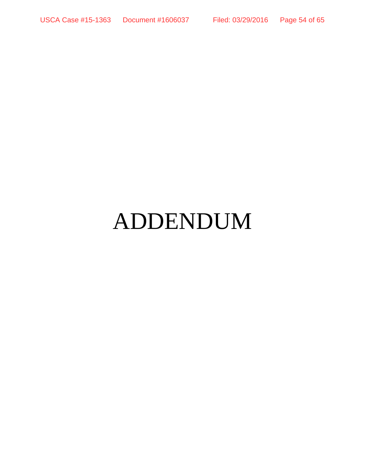# ADDENDUM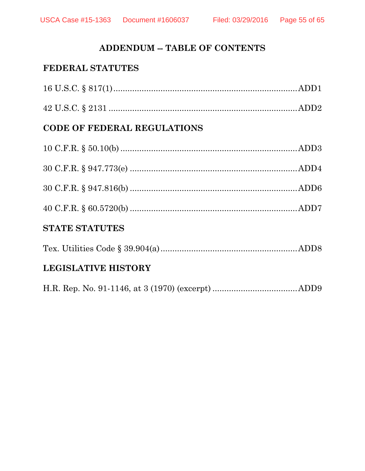#### **ADDENDUM -- TABLE OF CONTENTS**

#### **FEDERAL STATUTES**

#### **CODE OF FEDERAL REGULATIONS**

### **STATE STATUTES**

### **LEGISLATIVE HISTORY**

|--|--|--|--|--|--|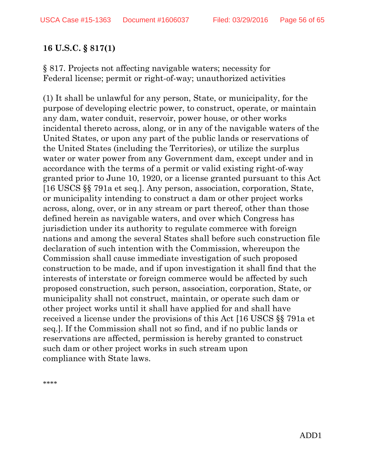#### **16 U.S.C. § 817(1)**

§ 817. Projects not affecting navigable waters; necessity for Federal license; permit or right-of-way; unauthorized activities

(1) It shall be unlawful for any person, State, or municipality, for the purpose of developing electric power, to construct, operate, or maintain any dam, water conduit, reservoir, power house, or other works incidental thereto across, along, or in any of the navigable waters of the United States, or upon any part of the public lands or reservations of the United States (including the Territories), or utilize the surplus water or water power from any Government dam, except under and in accordance with the terms of a permit or valid existing right-of-way granted prior to June 10, 1920, or a license granted pursuant to this Act [16 USCS §§ 791a et seq.]. Any person, association, corporation, State, or municipality intending to construct a dam or other project works across, along, over, or in any stream or part thereof, other than those defined herein as navigable waters, and over which Congress has jurisdiction under its authority to regulate commerce with foreign nations and among the several States shall before such construction file declaration of such intention with the Commission, whereupon the Commission shall cause immediate investigation of such proposed construction to be made, and if upon investigation it shall find that the interests of interstate or foreign commerce would be affected by such proposed construction, such person, association, corporation, State, or municipality shall not construct, maintain, or operate such dam or other project works until it shall have applied for and shall have received a license under the provisions of this Act [16 USCS §§ 791a et seq.]. If the Commission shall not so find, and if no public lands or reservations are affected, permission is hereby granted to construct such dam or other project works in such stream upon compliance with State laws.

\*\*\*\*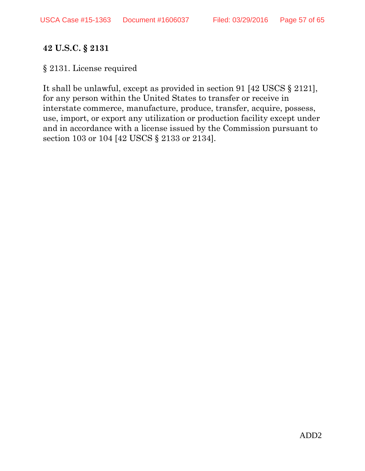#### **42 U.S.C. § 2131**

§ 2131. License required

It shall be unlawful, except as provided in section 91 [42 USCS § 2121], for any person within the United States to transfer or receive in interstate commerce, manufacture, produce, transfer, acquire, possess, use, import, or export any utilization or production facility except under and in accordance with a license issued by the Commission pursuant to section 103 or 104 [42 USCS § 2133 or 2134].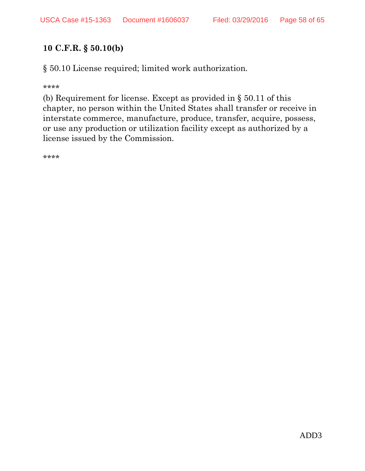#### **10 C.F.R. § 50.10(b)**

§ 50.10 License required; limited work authorization.

\*\*\*\*

(b) Requirement for license. Except as provided in § 50.11 of this chapter, no person within the United States shall transfer or receive in interstate commerce, manufacture, produce, transfer, acquire, possess, or use any production or utilization facility except as authorized by a license issued by the Commission.

\*\*\*\*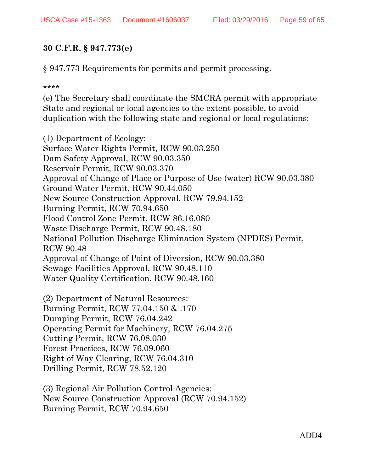# **30 C.F.R. § 947.773(e)**

§ 947.773 Requirements for permits and permit processing.

\*\*\*\*

(e) The Secretary shall coordinate the SMCRA permit with appropriate State and regional or local agencies to the extent possible, to avoid duplication with the following state and regional or local regulations:

(1) Department of Ecology: Surface Water Rights Permit, RCW 90.03.250 Dam Safety Approval, RCW 90.03.350 Reservoir Permit, RCW 90.03.370 Approval of Change of Place or Purpose of Use (water) RCW 90.03.380 Ground Water Permit, RCW 90.44.050 New Source Construction Approval, RCW 79.94.152 Burning Permit, RCW 70.94.650 Flood Control Zone Permit, RCW 86.16.080 Waste Discharge Permit, RCW 90.48.180 National Pollution Discharge Elimination System (NPDES) Permit, RCW 90.48 Approval of Change of Point of Diversion, RCW 90.03.380 Sewage Facilities Approval, RCW 90.48.110 Water Quality Certification, RCW 90.48.160

(2) Department of Natural Resources: Burning Permit, RCW 77.04.150 & .170 Dumping Permit, RCW 76.04.242 Operating Permit for Machinery, RCW 76.04.275 Cutting Permit, RCW 76.08.030 Forest Practices, RCW 76.09.060 Right of Way Clearing, RCW 76.04.310 Drilling Permit, RCW 78.52.120

(3) Regional Air Pollution Control Agencies: New Source Construction Approval (RCW 70.94.152) Burning Permit, RCW 70.94.650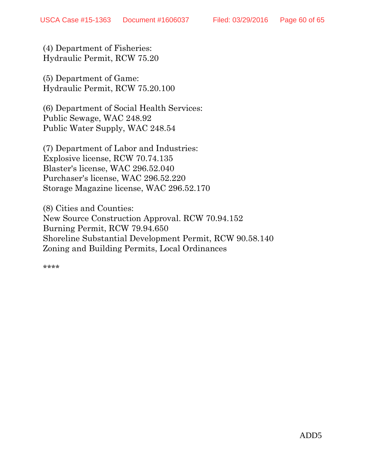(4) Department of Fisheries: Hydraulic Permit, RCW 75.20

(5) Department of Game: Hydraulic Permit, RCW 75.20.100

(6) Department of Social Health Services: Public Sewage, WAC 248.92 Public Water Supply, WAC 248.54

(7) Department of Labor and Industries: Explosive license, RCW 70.74.135 Blaster's license, WAC 296.52.040 Purchaser's license, WAC 296.52.220 Storage Magazine license, WAC 296.52.170

(8) Cities and Counties: New Source Construction Approval. RCW 70.94.152 Burning Permit, RCW 79.94.650 Shoreline Substantial Development Permit, RCW 90.58.140 Zoning and Building Permits, Local Ordinances

\*\*\*\*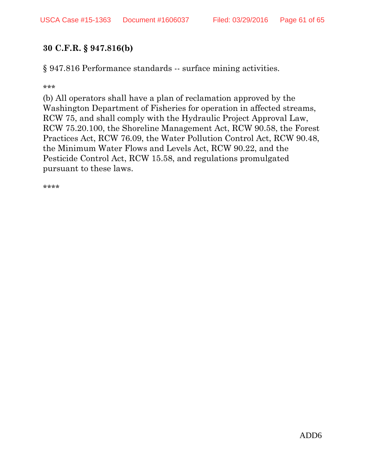#### **30 C.F.R. § 947.816(b)**

§ 947.816 Performance standards -- surface mining activities.

\*\*\*

(b) All operators shall have a plan of reclamation approved by the Washington Department of Fisheries for operation in affected streams, RCW 75, and shall comply with the Hydraulic Project Approval Law, RCW 75.20.100, the Shoreline Management Act, RCW 90.58, the Forest Practices Act, RCW 76.09, the Water Pollution Control Act, RCW 90.48, the Minimum Water Flows and Levels Act, RCW 90.22, and the Pesticide Control Act, RCW 15.58, and regulations promulgated pursuant to these laws.

\*\*\*\*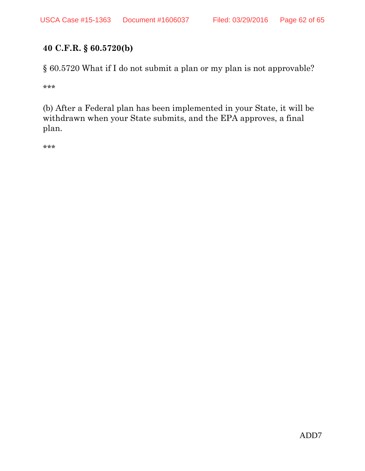#### **40 C.F.R. § 60.5720(b)**

§ 60.5720 What if I do not submit a plan or my plan is not approvable?

\*\*\*

(b) After a Federal plan has been implemented in your State, it will be withdrawn when your State submits, and the EPA approves, a final plan.

\*\*\*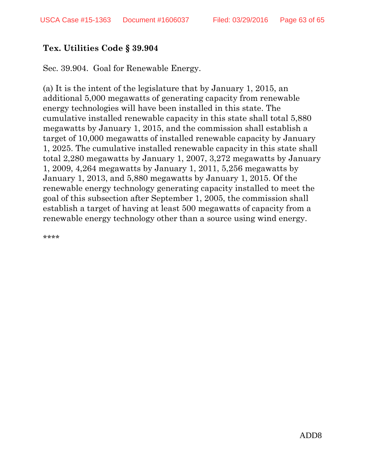### **Tex. Utilities Code § 39.904**

Sec. 39.904. Goal for Renewable Energy.

(a) It is the intent of the legislature that by January 1, 2015, an additional 5,000 megawatts of generating capacity from renewable energy technologies will have been installed in this state. The cumulative installed renewable capacity in this state shall total 5,880 megawatts by January 1, 2015, and the commission shall establish a target of 10,000 megawatts of installed renewable capacity by January 1, 2025. The cumulative installed renewable capacity in this state shall total 2,280 megawatts by January 1, 2007, 3,272 megawatts by January 1, 2009, 4,264 megawatts by January 1, 2011, 5,256 megawatts by January 1, 2013, and 5,880 megawatts by January 1, 2015. Of the renewable energy technology generating capacity installed to meet the goal of this subsection after September 1, 2005, the commission shall establish a target of having at least 500 megawatts of capacity from a renewable energy technology other than a source using wind energy.

\*\*\*\*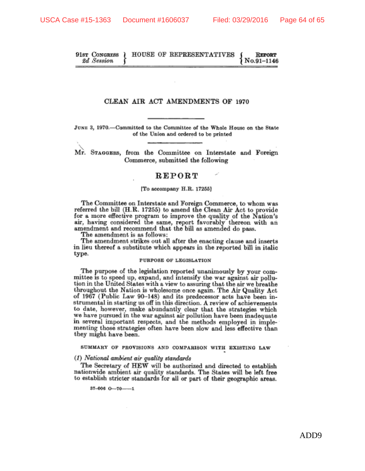91st CONGRESS ) HOUSE OF REPRESENTATIVES **REPORT** 2d Session No.91–1146

#### CLEAN AIR ACT AMENDMENTS OF 1970

JUNE 3, 1970.-Committed to the Committee of the Whole House on the State of the Union and ordered to be printed

Mr. STAGGERS, from the Committee on Interstate and Foreign Commerce, submitted the following

#### **REPORT**

#### [To accompany H.R. 17255]

The Committee on Interstate and Foreign Commerce, to whom was referred the bill (H.R. 17255) to amend the Clean Air Act to provide for a more effective program to improve the quality of the Nation's air, having considered the same, report favorably thereon with an amendment and recommend that the bill as amended do pass.

The amendment is as follows:

The amendment strikes out all after the enacting clause and inserts in lieu thereof a substitute which appears in the reported bill in italic type.

#### PURPOSE OF LEGISLATION

The purpose of the legislation reported unanimously by your committee is to speed up, expand, and intensity the war against air pollution in the United States with a view to assuring that the air we breathe throughout the Nation is wholesome once again. The Air Quality Act of 1967 (Public Law 90–148) and its predecessor acts have been instrumental in starting us off in this direction. A review of achievements to date, however, make abundantly clear that the strategies which we have pursued in the war against air pollution have been inadequate in several important respects, and the methods employed in implementing those strategies often have been slow and less effective than they might have been.

SUMMARY OF PROVISIONS AND COMPARISON WITH EXISTING LAW

#### (1) National ambient air quality standards

The Secretary of HEW will be authorized and directed to establish nationwide ambient air quality standards. The States will be left free to establish stricter standards for all or part of their geographic areas.

 $37-006$   $0-70$   $1$